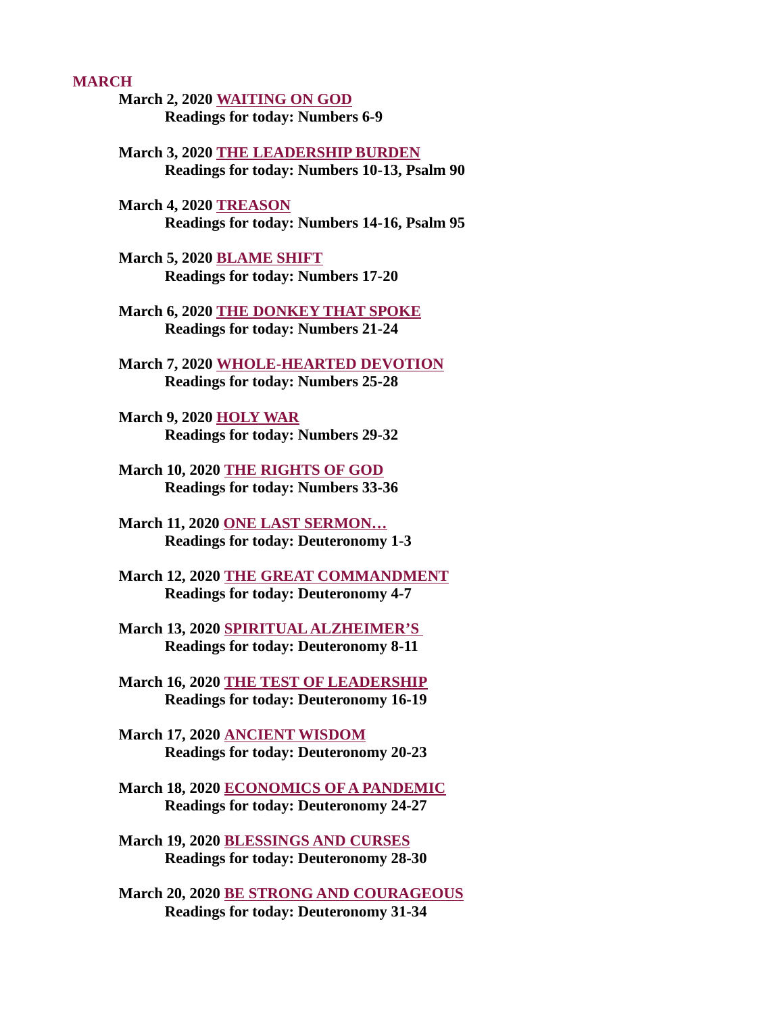#### MARCH

- [March 2, 2020 WAITING ON GOD](#page-2-0) Readings for today: Numbers 6-9
- [March 3, 2020 THE LEADERSHIP BURDEN](#page-3-0) Readings for today: Numbers 10-13, Psalm 90
- March 4, 2020 TREASON [Readings for today: Numbers 14-16, Psalm 95](#page-5-0)
- March 5, 2020 BLAME SHIFT [Readings for today: Numbers 17-20](#page-7-0)
- [March 6, 2020 THE DONKEY THAT SPOKE](#page-9-0) Readings for today: Numbers 21-24
- [March 7, 2020 WHOLE-HEARTED DEVOTION](#page-10-0) Readings for today: Numbers 25-28
- March 9, 2020 HOLY WAR [Readings for today: Numbers 29-32](#page-12-0)
- [March 10, 2020 THE RIGHTS OF GOD](#page-14-0) Readings for today: Numbers 33-36
- [March 11, 2020 ONE LAST SERMON…](#page-15-0) Readings for today: Deuteronomy 1-3
- [March 12, 2020 THE GREAT COMMANDMENT](#page-16-0) Readings for today: Deuteronomy 4-7
- [March 13, 2020 SPIRITUAL ALZHEIMER'S](#page-17-0)  Readings for today: Deuteronomy 8-11
- [March 16, 2020 THE TEST OF LEADERSHIP](#page-19-0) Readings for today: Deuteronomy 16-19
- March 17, 2020 ANCIENT WISDOM [Readings for today: Deuteronomy 20-23](#page-20-0)
- [March 18, 2020 ECONOMICS OF A PANDEMIC](#page-22-0) Readings for today: Deuteronomy 24-27
- [March 19, 2020 BLESSINGS AND CURSES](#page-24-0) Readings for today: Deuteronomy 28-30
- [March 20, 2020 BE STRONG AND COURAGEOUS](#page-25-0) Readings for today: Deuteronomy 31-34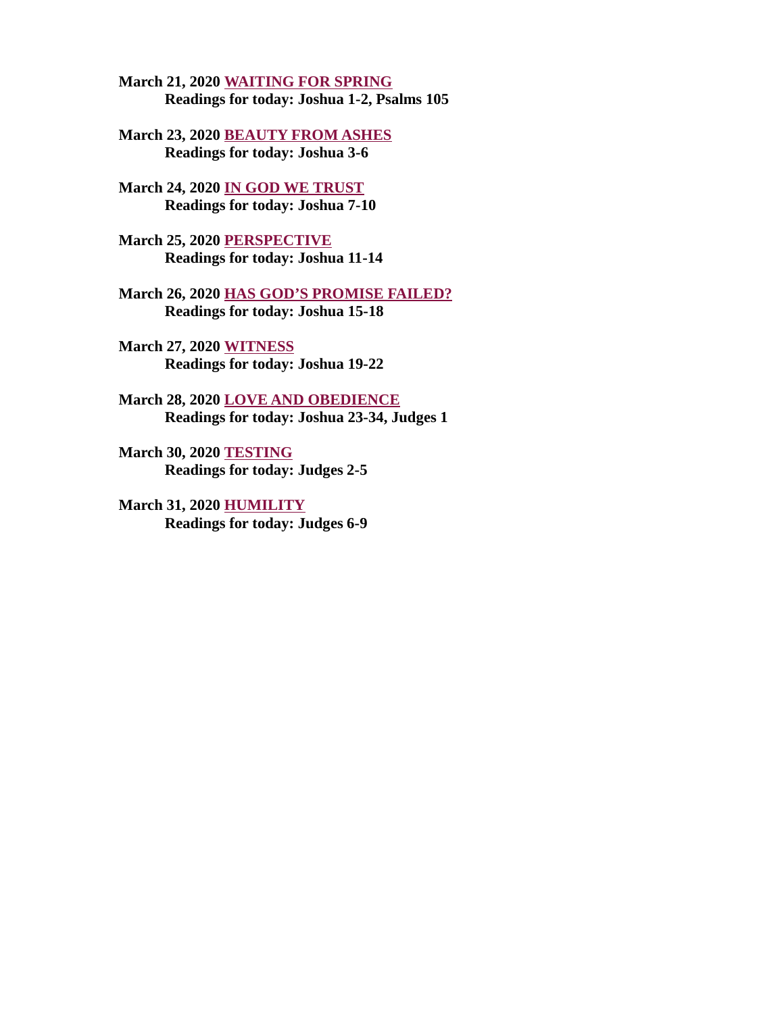March 21, 2020 WAITING FOR SPRING [Readings for today: Joshua 1-2, Psalms 105](#page-26-0)

[March 23, 2020 BEAUTY FROM ASHES](#page-27-0) Readings for today: Joshua 3-6

[March 24, 2020 IN GOD WE TRUST](#page-28-0) Readings for today: Joshua 7-10

March 25, 2020 PERSPECTIVE [Readings for today: Joshua 11-14](#page-30-0)

[March 26, 2020 HAS GOD'S PROMISE FAILED?](#page-32-0) Readings for today: Joshua 15-18

March 27, 2020 WITNESS [Readings for today: Joshua 19-22](#page-33-0)

March 28, 2020 LOVE AND OBEDIENCE [Readings for today: Joshua 23-34, Judges 1](#page-34-0)

March 30, 2020 TESTING [Readings for today: Judges 2-5](#page-35-0)

March 31, 2020 HUMILITY [Readings for today: Judges 6-9](#page-36-0)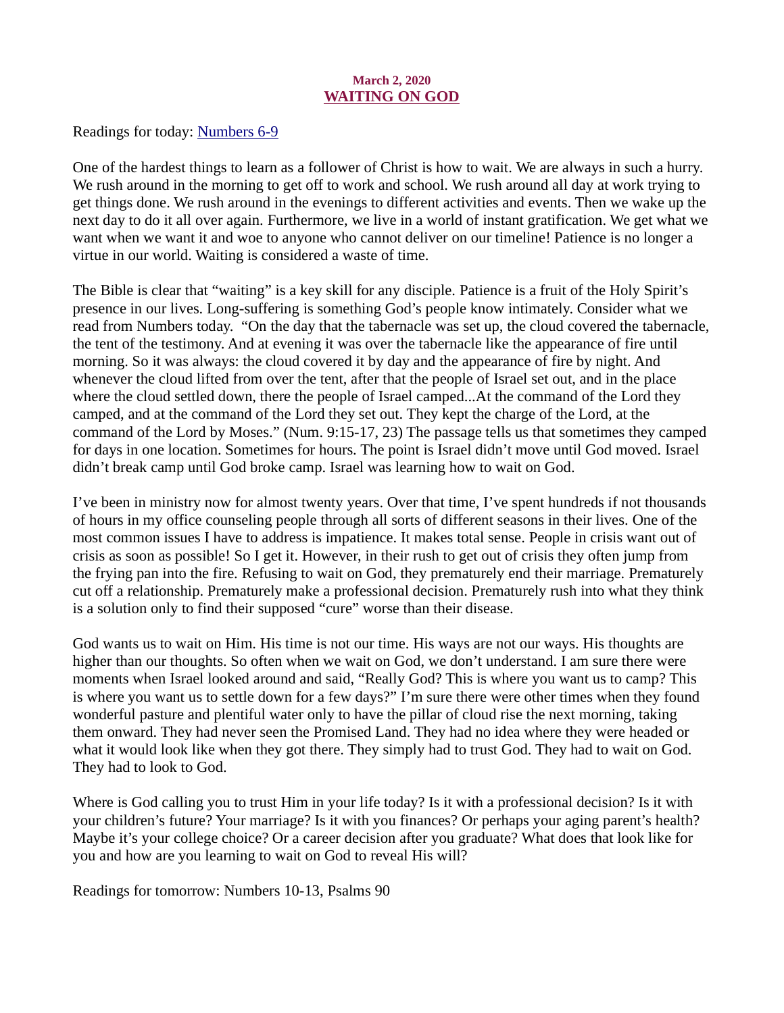## March 2, 2020 WAITING ON GOD

<span id="page-2-0"></span>[Readings for today: Numbers 6-9](https://www.biblegateway.com/passage/?search=Numbers+6-9&version=ESV)

One of the hardest things to learn as a follower of Christ is how to wait. We are always in such a hurry. We rush around in the morning to get off to work and school. We rush around all day at work trying to get things done. We rush around in the evenings to different activities and events. Then we wake up the next day to do it all over again. Furthermore, we live in a world of instant gratification. We get what we want when we want it and woe to anyone who cannot deliver on our timeline! Patience is no longer a virtue in our world. Waiting is considered a waste of time.

The Bible is clear that "waiting" is a key skill for any disciple. Patience is a fruit of the Holy Spirit's presence in our lives. Long-suffering is something God's people know intimately. Consider what we read from Numbers today. "On the day that the tabernacle was set up, the cloud covered the tabernacle, the tent of the testimony. And at evening it was over the tabernacle like the appearance of fire until morning. So it was always: the cloud covered it by day and the appearance of fire by night. And whenever the cloud lifted from over the tent, after that the people of Israel set out, and in the place where the cloud settled down, there the people of Israel camped...At the command of the Lord they camped, and at the command of the Lord they set out. They kept the charge of the Lord, at the command of the Lord by Moses." (Num. 9:15-17, 23) The passage tells us that sometimes they camped for days in one location. Sometimes for hours. The point is Israel didn't move until God moved. Israel didn't break camp until God broke camp. Israel was learning how to wait on God.

I've been in ministry now for almost twenty years. Over that time, I've spent hundreds if not thousands of hours in my office counseling people through all sorts of different seasons in their lives. One of the most common issues I have to address is impatience. It makes total sense. People in crisis want out of crisis as soon as possible! So I get it. However, in their rush to get out of crisis they often jump from the frying pan into the fire. Refusing to wait on God, they prematurely end their marriage. Prematurely cut off a relationship. Prematurely make a professional decision. Prematurely rush into what they think is a solution only to find their supposed "cure" worse than their disease.

God wants us to wait on Him. His time is not our time. His ways are not our ways. His thoughts are higher than our thoughts. So often when we wait on God, we don't understand. I am sure there were moments when Israel looked around and said, "Really God? This is where you want us to camp? This is where you want us to settle down for a few days?" I'm sure there were other times when they found wonderful pasture and plentiful water only to have the pillar of cloud rise the next morning, taking them onward. They had never seen the Promised Land. They had no idea where they were headed or what it would look like when they got there. They simply had to trust God. They had to wait on God. They had to look to God.

Where is God calling you to trust Him in your life today? Is it with a professional decision? Is it with your children's future? Your marriage? Is it with you finances? Or perhaps your aging parent's health? Maybe it's your college choice? Or a career decision after you graduate? What does that look like for you and how are you learning to wait on God to reveal His will?

Readings for tomorrow: Numbers 10-13, Psalms 90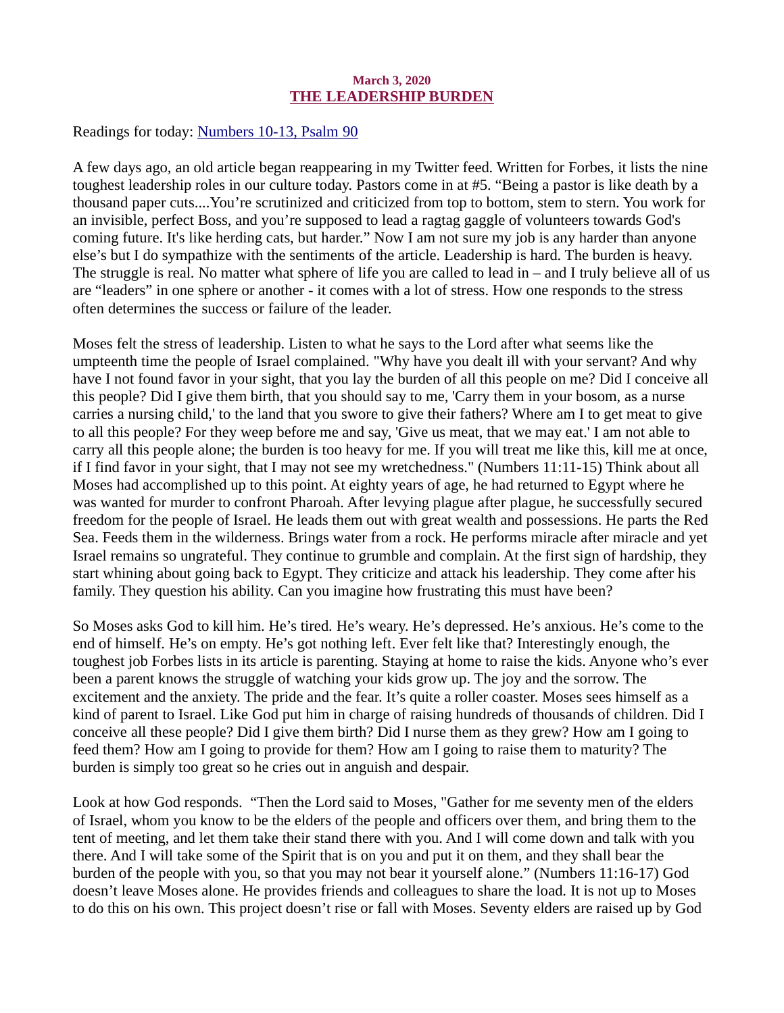#### March 3, 2020 THE LEADERSHIP BURDEN

<span id="page-3-0"></span>[Readings for today: Numbers 10-13, Psalm 90](https://www.biblegateway.com/passage/?search=Numbers+10-13%2C+Psalm+90&version=ESV)

A few days ago, an old article began reappearing in my Twitter feed. Written for Forbes, it lists the nine toughest leadership roles in our culture today. Pastors come in at #5. "Being a pastor is like death by a thousand paper cuts....You're scrutinized and criticized from top to bottom, stem to stern. You work for an invisible, perfect Boss, and you're supposed to lead a ragtag gaggle of volunteers towards God's coming future. It's like herding cats, but harder." Now I am not sure my job is any harder than anyone else's but I do sympathize with the sentiments of the article. Leadership is hard. The burden is heavy. The struggle is real. No matter what sphere of life you are called to lead in – and I truly believe all of us are "leaders" in one sphere or another - it comes with a lot of stress. How one responds to the stress often determines the success or failure of the leader.

Moses felt the stress of leadership. Listen to what he says to the Lord after what seems like the umpteenth time the people of Israel complained. "Why have you dealt ill with your servant? And why have I not found favor in your sight, that you lay the burden of all this people on me? Did I conceive all this people? Did I give them birth, that you should say to me, 'Carry them in your bosom, as a nurse carries a nursing child,' to the land that you swore to give their fathers? Where am I to get meat to give to all this people? For they weep before me and say, 'Give us meat, that we may eat.' I am not able to carry all this people alone; the burden is too heavy for me. If you will treat me like this, kill me at once, if I find favor in your sight, that I may not see my wretchedness." (Numbers 11:11-15) Think about all Moses had accomplished up to this point. At eighty years of age, he had returned to Egypt where he was wanted for murder to confront Pharoah. After levying plague after plague, he successfully secured freedom for the people of Israel. He leads them out with great wealth and possessions. He parts the Red Sea. Feeds them in the wilderness. Brings water from a rock. He performs miracle after miracle and yet Israel remains so ungrateful. They continue to grumble and complain. At the first sign of hardship, they start whining about going back to Egypt. They criticize and attack his leadership. They come after his family. They question his ability. Can you imagine how frustrating this must have been?

So Moses asks God to kill him. He's tired. He's weary. He's depressed. He's anxious. He's come to the end of himself. He's on empty. He's got nothing left. Ever felt like that? Interestingly enough, the toughest job Forbes lists in its article is parenting. Staying at home to raise the kids. Anyone who's ever been a parent knows the struggle of watching your kids grow up. The joy and the sorrow. The excitement and the anxiety. The pride and the fear. It's quite a roller coaster. Moses sees himself as a kind of parent to Israel. Like God put him in charge of raising hundreds of thousands of children. Did I conceive all these people? Did I give them birth? Did I nurse them as they grew? How am I going to feed them? How am I going to provide for them? How am I going to raise them to maturity? The burden is simply too great so he cries out in anguish and despair.

Look at how God responds. "Then the Lord said to Moses, "Gather for me seventy men of the elders of Israel, whom you know to be the elders of the people and officers over them, and bring them to the tent of meeting, and let them take their stand there with you. And I will come down and talk with you there. And I will take some of the Spirit that is on you and put it on them, and they shall bear the burden of the people with you, so that you may not bear it yourself alone." (Numbers 11:16-17) God doesn't leave Moses alone. He provides friends and colleagues to share the load. It is not up to Moses to do this on his own. This project doesn't rise or fall with Moses. Seventy elders are raised up by God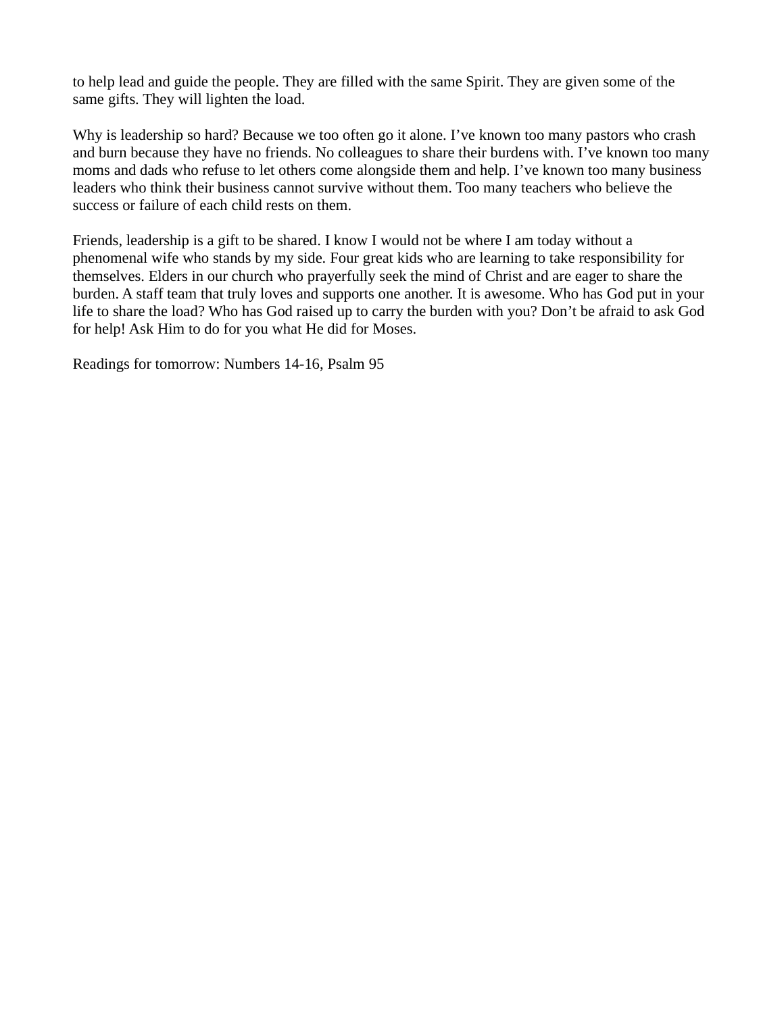to help lead and guide the people. They are filled with the same Spirit. They are given some of the same gifts. They will lighten the load.

Why is leadership so hard? Because we too often go it alone. I've known too many pastors who crash and burn because they have no friends. No colleagues to share their burdens with. I've known too many moms and dads who refuse to let others come alongside them and help. I've known too many business leaders who think their business cannot survive without them. Too many teachers who believe the success or failure of each child rests on them.

Friends, leadership is a gift to be shared. I know I would not be where I am today without a phenomenal wife who stands by my side. Four great kids who are learning to take responsibility for themselves. Elders in our church who prayerfully seek the mind of Christ and are eager to share the burden. A staff team that truly loves and supports one another. It is awesome. Who has God put in your life to share the load? Who has God raised up to carry the burden with you? Don't be afraid to ask God for help! Ask Him to do for you what He did for Moses.

Readings for tomorrow: Numbers 14-16, Psalm 95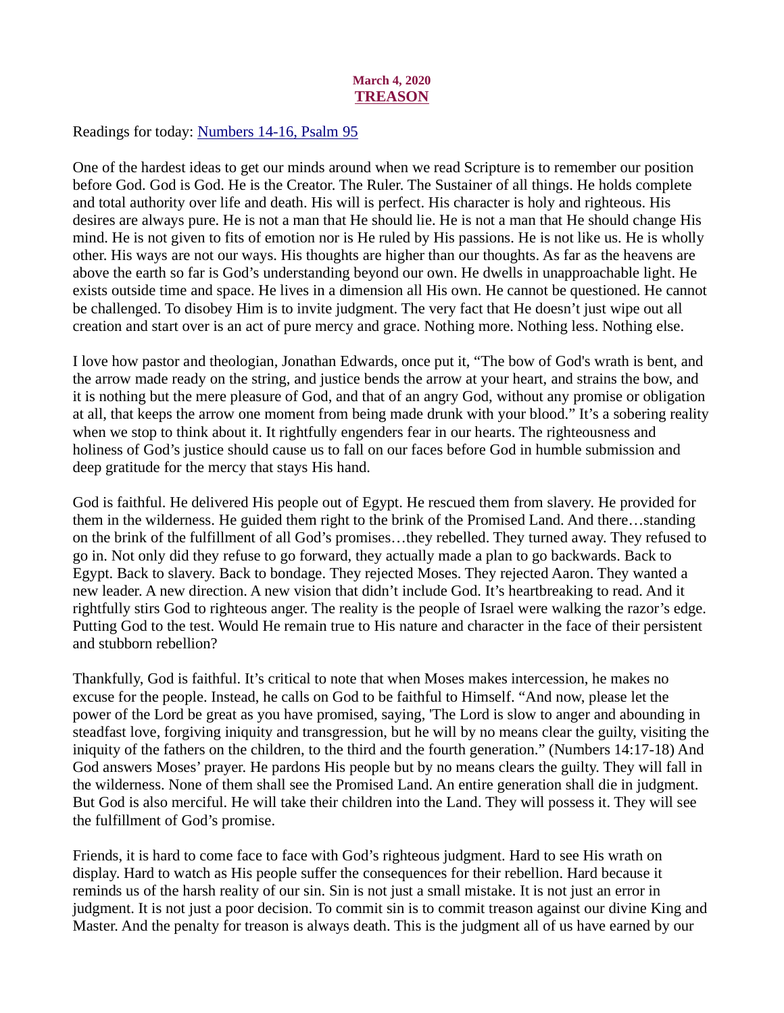# March 4, 2020 **TREASON**

<span id="page-5-0"></span>[Readings for today: Numbers 14-16, Psalm 95](https://www.biblegateway.com/passage/?search=Numbers+14-16%2C+Psalm+95&version=ESV)

One of the hardest ideas to get our minds around when we read Scripture is to remember our position before God. God is God. He is the Creator. The Ruler. The Sustainer of all things. He holds complete and total authority over life and death. His will is perfect. His character is holy and righteous. His desires are always pure. He is not a man that He should lie. He is not a man that He should change His mind. He is not given to fits of emotion nor is He ruled by His passions. He is not like us. He is wholly other. His ways are not our ways. His thoughts are higher than our thoughts. As far as the heavens are above the earth so far is God's understanding beyond our own. He dwells in unapproachable light. He exists outside time and space. He lives in a dimension all His own. He cannot be questioned. He cannot be challenged. To disobey Him is to invite judgment. The very fact that He doesn't just wipe out all creation and start over is an act of pure mercy and grace. Nothing more. Nothing less. Nothing else.

I love how pastor and theologian, Jonathan Edwards, once put it, "The bow of God's wrath is bent, and the arrow made ready on the string, and justice bends the arrow at your heart, and strains the bow, and it is nothing but the mere pleasure of God, and that of an angry God, without any promise or obligation at all, that keeps the arrow one moment from being made drunk with your blood." It's a sobering reality when we stop to think about it. It rightfully engenders fear in our hearts. The righteousness and holiness of God's justice should cause us to fall on our faces before God in humble submission and deep gratitude for the mercy that stays His hand.

God is faithful. He delivered His people out of Egypt. He rescued them from slavery. He provided for them in the wilderness. He guided them right to the brink of the Promised Land. And there…standing on the brink of the fulfillment of all God's promises…they rebelled. They turned away. They refused to go in. Not only did they refuse to go forward, they actually made a plan to go backwards. Back to Egypt. Back to slavery. Back to bondage. They rejected Moses. They rejected Aaron. They wanted a new leader. A new direction. A new vision that didn't include God. It's heartbreaking to read. And it rightfully stirs God to righteous anger. The reality is the people of Israel were walking the razor's edge. Putting God to the test. Would He remain true to His nature and character in the face of their persistent and stubborn rebellion?

Thankfully, God is faithful. It's critical to note that when Moses makes intercession, he makes no excuse for the people. Instead, he calls on God to be faithful to Himself. "And now, please let the power of the Lord be great as you have promised, saying, 'The Lord is slow to anger and abounding in steadfast love, forgiving iniquity and transgression, but he will by no means clear the guilty, visiting the iniquity of the fathers on the children, to the third and the fourth generation." (Numbers 14:17-18) And God answers Moses' prayer. He pardons His people but by no means clears the guilty. They will fall in the wilderness. None of them shall see the Promised Land. An entire generation shall die in judgment. But God is also merciful. He will take their children into the Land. They will possess it. They will see the fulfillment of God's promise.

Friends, it is hard to come face to face with God's righteous judgment. Hard to see His wrath on display. Hard to watch as His people suffer the consequences for their rebellion. Hard because it reminds us of the harsh reality of our sin. Sin is not just a small mistake. It is not just an error in judgment. It is not just a poor decision. To commit sin is to commit treason against our divine King and Master. And the penalty for treason is always death. This is the judgment all of us have earned by our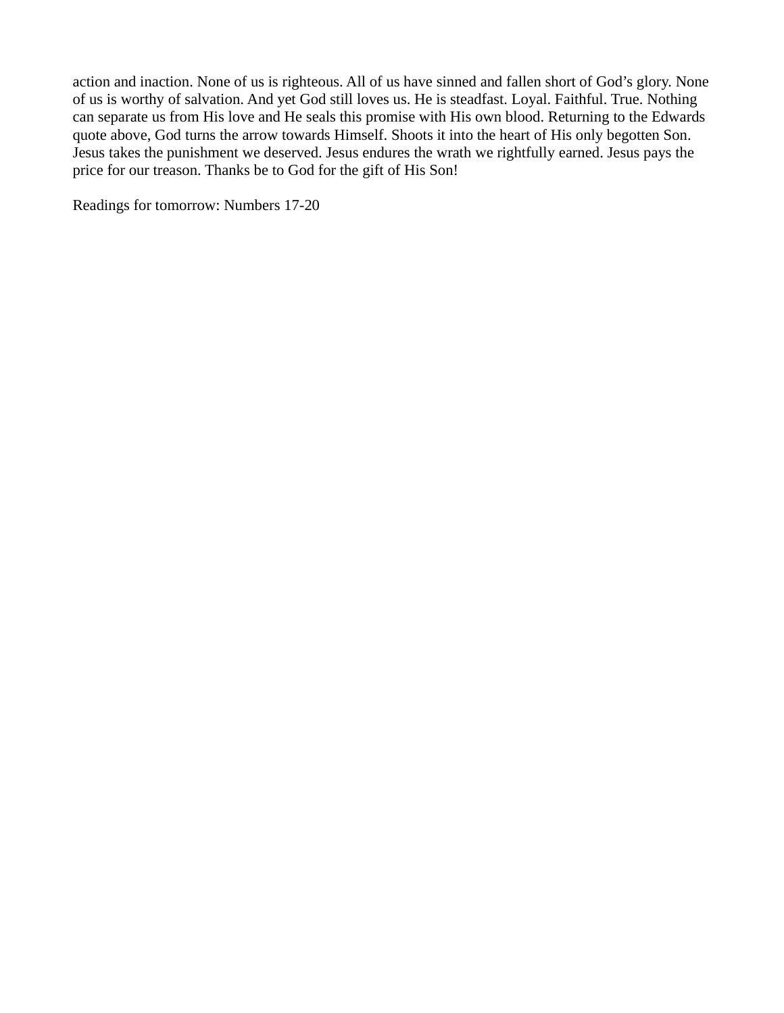action and inaction. None of us is righteous. All of us have sinned and fallen short of God's glory. None of us is worthy of salvation. And yet God still loves us. He is steadfast. Loyal. Faithful. True. Nothing can separate us from His love and He seals this promise with His own blood. Returning to the Edwards quote above, God turns the arrow towards Himself. Shoots it into the heart of His only begotten Son. Jesus takes the punishment we deserved. Jesus endures the wrath we rightfully earned. Jesus pays the price for our treason. Thanks be to God for the gift of His Son!

Readings for tomorrow: Numbers 17-20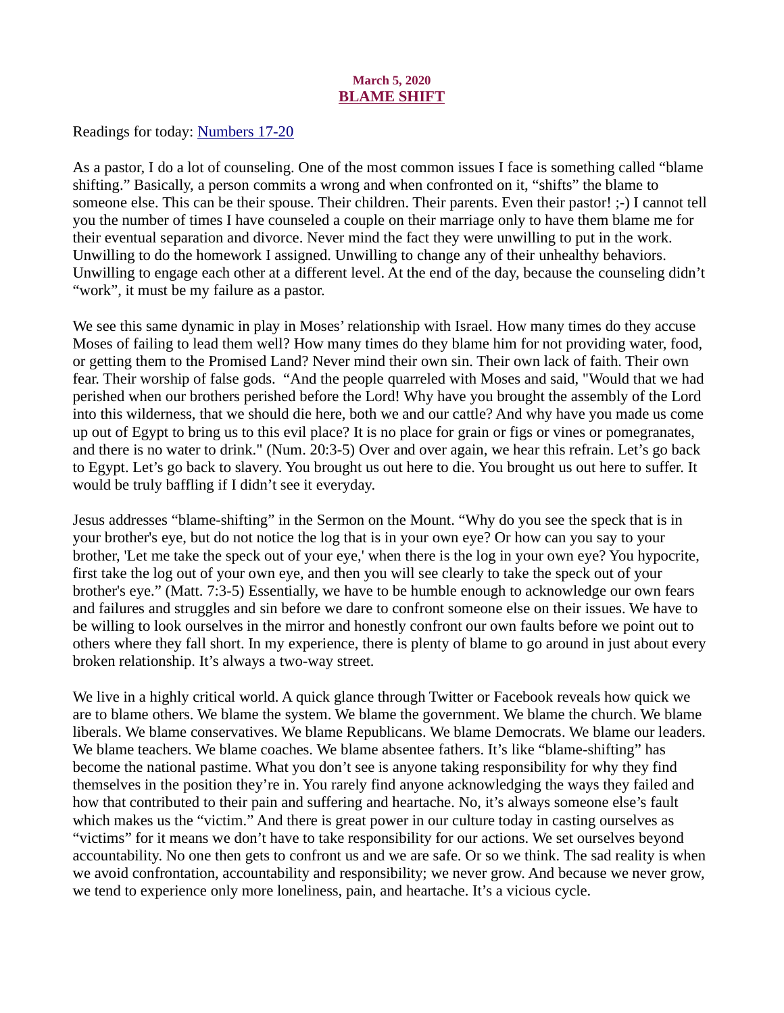# March 5, 2020 BLAME SHIFT

<span id="page-7-0"></span>[Readings for today: Numbers 17-20](https://www.biblegateway.com/passage/?search=Numbers+17-20&version=ESV)

As a pastor, I do a lot of counseling. One of the most common issues I face is something called "blame shifting." Basically, a person commits a wrong and when confronted on it, "shifts" the blame to someone else. This can be their spouse. Their children. Their parents. Even their pastor! ;-) I cannot tell you the number of times I have counseled a couple on their marriage only to have them blame me for their eventual separation and divorce. Never mind the fact they were unwilling to put in the work. Unwilling to do the homework I assigned. Unwilling to change any of their unhealthy behaviors. Unwilling to engage each other at a different level. At the end of the day, because the counseling didn't "work", it must be my failure as a pastor.

We see this same dynamic in play in Moses' relationship with Israel. How many times do they accuse Moses of failing to lead them well? How many times do they blame him for not providing water, food, or getting them to the Promised Land? Never mind their own sin. Their own lack of faith. Their own fear. Their worship of false gods. "And the people quarreled with Moses and said, "Would that we had perished when our brothers perished before the Lord! Why have you brought the assembly of the Lord into this wilderness, that we should die here, both we and our cattle? And why have you made us come up out of Egypt to bring us to this evil place? It is no place for grain or figs or vines or pomegranates, and there is no water to drink." (Num. 20:3-5) Over and over again, we hear this refrain. Let's go back to Egypt. Let's go back to slavery. You brought us out here to die. You brought us out here to suffer. It would be truly baffling if I didn't see it everyday.

Jesus addresses "blame-shifting" in the Sermon on the Mount. "Why do you see the speck that is in your brother's eye, but do not notice the log that is in your own eye? Or how can you say to your brother, 'Let me take the speck out of your eye,' when there is the log in your own eye? You hypocrite, first take the log out of your own eye, and then you will see clearly to take the speck out of your brother's eye." (Matt. 7:3-5) Essentially, we have to be humble enough to acknowledge our own fears and failures and struggles and sin before we dare to confront someone else on their issues. We have to be willing to look ourselves in the mirror and honestly confront our own faults before we point out to others where they fall short. In my experience, there is plenty of blame to go around in just about every broken relationship. It's always a two-way street.

We live in a highly critical world. A quick glance through Twitter or Facebook reveals how quick we are to blame others. We blame the system. We blame the government. We blame the church. We blame liberals. We blame conservatives. We blame Republicans. We blame Democrats. We blame our leaders. We blame teachers. We blame coaches. We blame absentee fathers. It's like "blame-shifting" has become the national pastime. What you don't see is anyone taking responsibility for why they find themselves in the position they're in. You rarely find anyone acknowledging the ways they failed and how that contributed to their pain and suffering and heartache. No, it's always someone else's fault which makes us the "victim." And there is great power in our culture today in casting ourselves as "victims" for it means we don't have to take responsibility for our actions. We set ourselves beyond accountability. No one then gets to confront us and we are safe. Or so we think. The sad reality is when we avoid confrontation, accountability and responsibility; we never grow. And because we never grow, we tend to experience only more loneliness, pain, and heartache. It's a vicious cycle.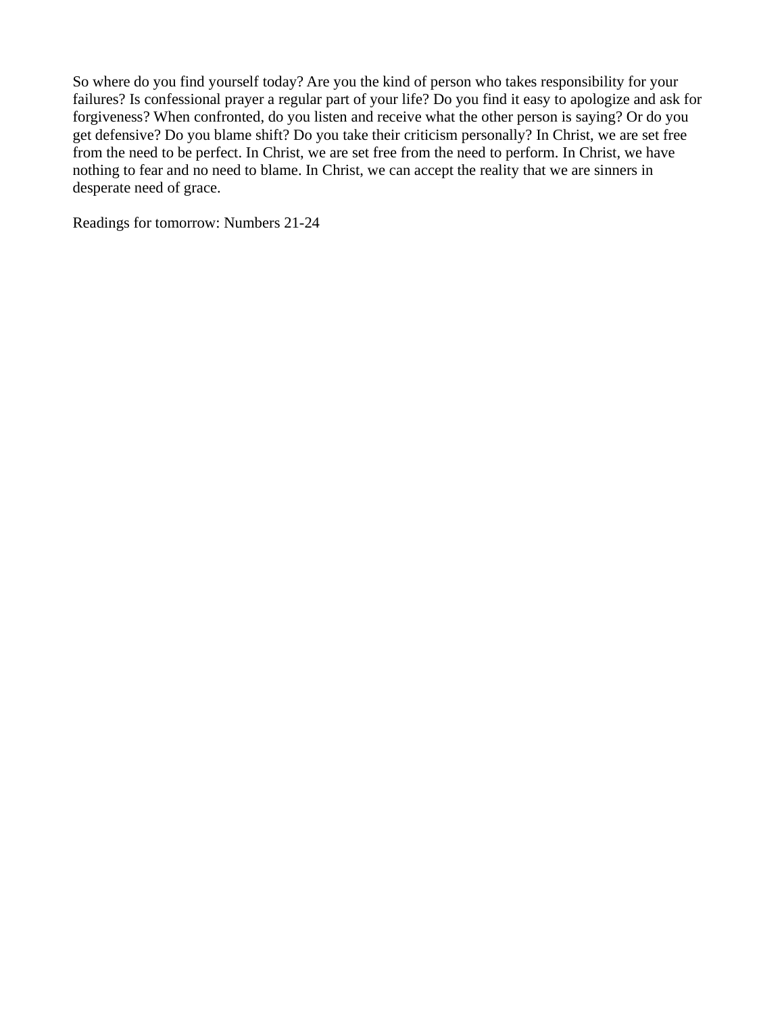So where do you find yourself today? Are you the kind of person who takes responsibility for your failures? Is confessional prayer a regular part of your life? Do you find it easy to apologize and ask for forgiveness? When confronted, do you listen and receive what the other person is saying? Or do you get defensive? Do you blame shift? Do you take their criticism personally? In Christ, we are set free from the need to be perfect. In Christ, we are set free from the need to perform. In Christ, we have nothing to fear and no need to blame. In Christ, we can accept the reality that we are sinners in desperate need of grace.

Readings for tomorrow: Numbers 21-24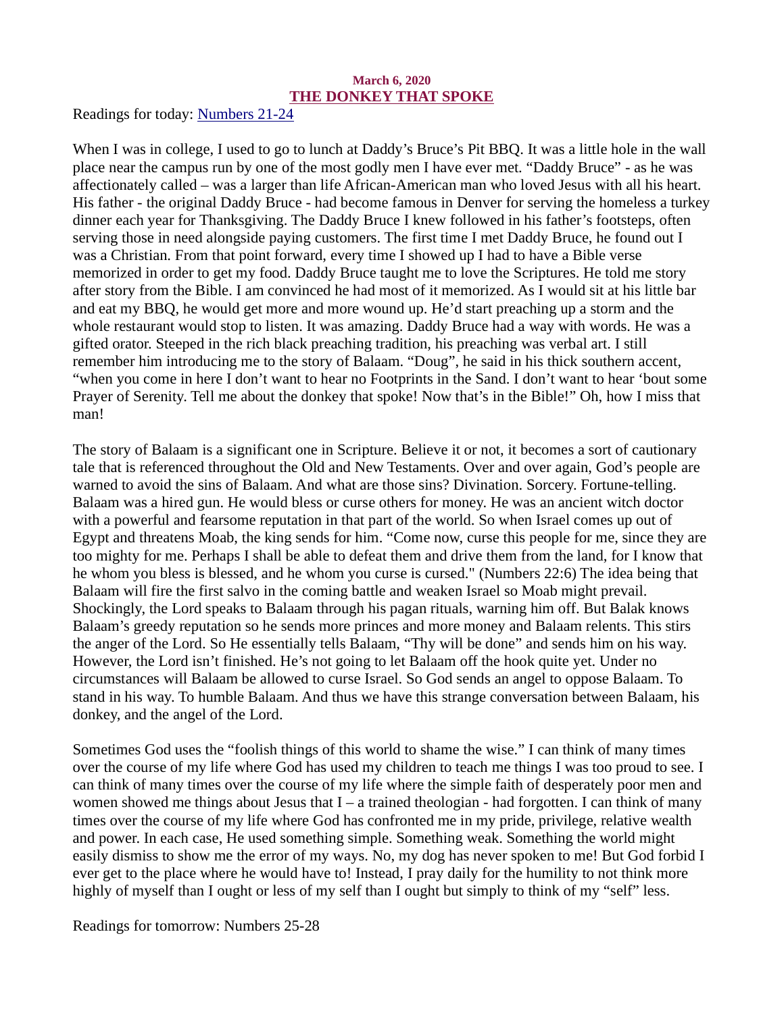# March 6, 2020 THE DONKEY THAT SPOKE

<span id="page-9-0"></span>[Readings for today: Numbers 21-24](https://www.biblegateway.com/passage/?search=Numbers+21-24&version=ESV)

When I was in college, I used to go to lunch at Daddy's Bruce's Pit BBQ. It was a little hole in the wall place near the campus run by one of the most godly men I have ever met. "Daddy Bruce" - as he was affectionately called – was a larger than life African-American man who loved Jesus with all his heart. His father - the original Daddy Bruce - had become famous in Denver for serving the homeless a turkey dinner each year for Thanksgiving. The Daddy Bruce I knew followed in his father's footsteps, often serving those in need alongside paying customers. The first time I met Daddy Bruce, he found out I was a Christian. From that point forward, every time I showed up I had to have a Bible verse memorized in order to get my food. Daddy Bruce taught me to love the Scriptures. He told me story after story from the Bible. I am convinced he had most of it memorized. As I would sit at his little bar and eat my BBQ, he would get more and more wound up. He'd start preaching up a storm and the whole restaurant would stop to listen. It was amazing. Daddy Bruce had a way with words. He was a gifted orator. Steeped in the rich black preaching tradition, his preaching was verbal art. I still remember him introducing me to the story of Balaam. "Doug", he said in his thick southern accent, "when you come in here I don't want to hear no Footprints in the Sand. I don't want to hear 'bout some Prayer of Serenity. Tell me about the donkey that spoke! Now that's in the Bible!" Oh, how I miss that man!

The story of Balaam is a significant one in Scripture. Believe it or not, it becomes a sort of cautionary tale that is referenced throughout the Old and New Testaments. Over and over again, God's people are warned to avoid the sins of Balaam. And what are those sins? Divination. Sorcery. Fortune-telling. Balaam was a hired gun. He would bless or curse others for money. He was an ancient witch doctor with a powerful and fearsome reputation in that part of the world. So when Israel comes up out of Egypt and threatens Moab, the king sends for him. "Come now, curse this people for me, since they are too mighty for me. Perhaps I shall be able to defeat them and drive them from the land, for I know that he whom you bless is blessed, and he whom you curse is cursed." (Numbers 22:6) The idea being that Balaam will fire the first salvo in the coming battle and weaken Israel so Moab might prevail. Shockingly, the Lord speaks to Balaam through his pagan rituals, warning him off. But Balak knows Balaam's greedy reputation so he sends more princes and more money and Balaam relents. This stirs the anger of the Lord. So He essentially tells Balaam, "Thy will be done" and sends him on his way. However, the Lord isn't finished. He's not going to let Balaam off the hook quite yet. Under no circumstances will Balaam be allowed to curse Israel. So God sends an angel to oppose Balaam. To stand in his way. To humble Balaam. And thus we have this strange conversation between Balaam, his donkey, and the angel of the Lord.

Sometimes God uses the "foolish things of this world to shame the wise." I can think of many times over the course of my life where God has used my children to teach me things I was too proud to see. I can think of many times over the course of my life where the simple faith of desperately poor men and women showed me things about Jesus that I – a trained theologian - had forgotten. I can think of many times over the course of my life where God has confronted me in my pride, privilege, relative wealth and power. In each case, He used something simple. Something weak. Something the world might easily dismiss to show me the error of my ways. No, my dog has never spoken to me! But God forbid I ever get to the place where he would have to! Instead, I pray daily for the humility to not think more highly of myself than I ought or less of my self than I ought but simply to think of my "self" less.

Readings for tomorrow: Numbers 25-28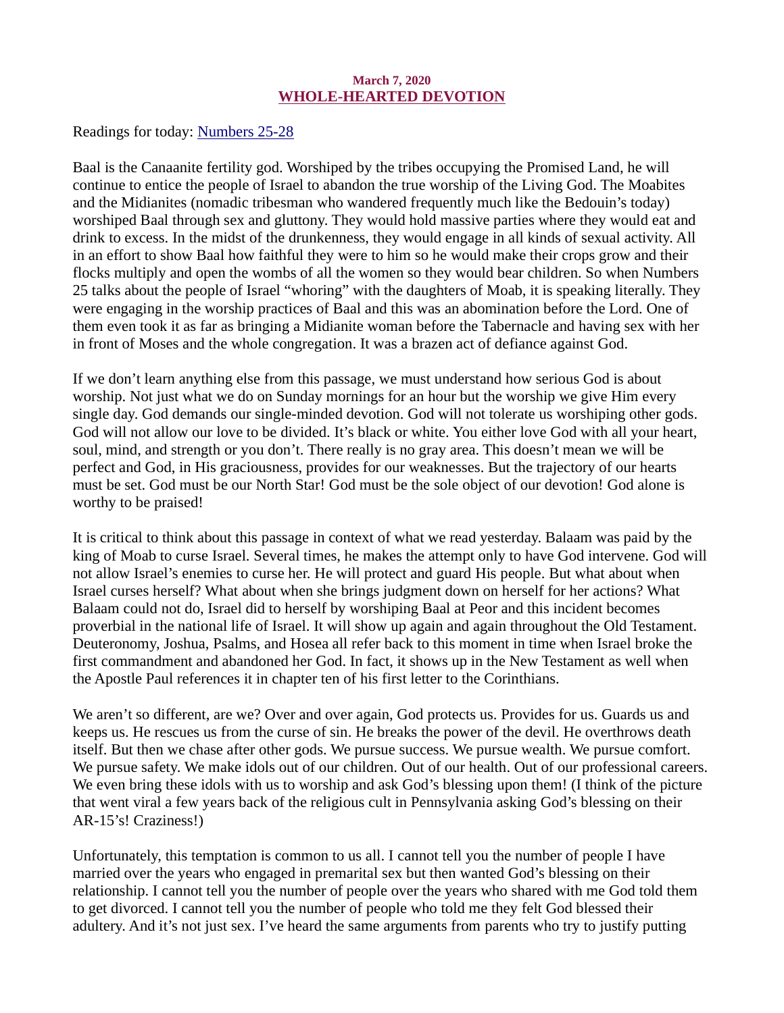#### March 7, 2020 WHOLE-HEARTED DEVOTION

<span id="page-10-0"></span>[Readings for today: Numbers 25-28](https://www.biblegateway.com/passage/?search=Numbers+25-28&version=ESV)

Baal is the Canaanite fertility god. Worshiped by the tribes occupying the Promised Land, he will continue to entice the people of Israel to abandon the true worship of the Living God. The Moabites and the Midianites (nomadic tribesman who wandered frequently much like the Bedouin's today) worshiped Baal through sex and gluttony. They would hold massive parties where they would eat and drink to excess. In the midst of the drunkenness, they would engage in all kinds of sexual activity. All in an effort to show Baal how faithful they were to him so he would make their crops grow and their flocks multiply and open the wombs of all the women so they would bear children. So when Numbers 25 talks about the people of Israel "whoring" with the daughters of Moab, it is speaking literally. They were engaging in the worship practices of Baal and this was an abomination before the Lord. One of them even took it as far as bringing a Midianite woman before the Tabernacle and having sex with her in front of Moses and the whole congregation. It was a brazen act of defiance against God.

If we don't learn anything else from this passage, we must understand how serious God is about worship. Not just what we do on Sunday mornings for an hour but the worship we give Him every single day. God demands our single-minded devotion. God will not tolerate us worshiping other gods. God will not allow our love to be divided. It's black or white. You either love God with all your heart, soul, mind, and strength or you don't. There really is no gray area. This doesn't mean we will be perfect and God, in His graciousness, provides for our weaknesses. But the trajectory of our hearts must be set. God must be our North Star! God must be the sole object of our devotion! God alone is worthy to be praised!

It is critical to think about this passage in context of what we read yesterday. Balaam was paid by the king of Moab to curse Israel. Several times, he makes the attempt only to have God intervene. God will not allow Israel's enemies to curse her. He will protect and guard His people. But what about when Israel curses herself? What about when she brings judgment down on herself for her actions? What Balaam could not do, Israel did to herself by worshiping Baal at Peor and this incident becomes proverbial in the national life of Israel. It will show up again and again throughout the Old Testament. Deuteronomy, Joshua, Psalms, and Hosea all refer back to this moment in time when Israel broke the first commandment and abandoned her God. In fact, it shows up in the New Testament as well when the Apostle Paul references it in chapter ten of his first letter to the Corinthians.

We aren't so different, are we? Over and over again, God protects us. Provides for us. Guards us and keeps us. He rescues us from the curse of sin. He breaks the power of the devil. He overthrows death itself. But then we chase after other gods. We pursue success. We pursue wealth. We pursue comfort. We pursue safety. We make idols out of our children. Out of our health. Out of our professional careers. We even bring these idols with us to worship and ask God's blessing upon them! (I think of the picture that went viral a few years back of the religious cult in Pennsylvania asking God's blessing on their AR-15's! Craziness!)

Unfortunately, this temptation is common to us all. I cannot tell you the number of people I have married over the years who engaged in premarital sex but then wanted God's blessing on their relationship. I cannot tell you the number of people over the years who shared with me God told them to get divorced. I cannot tell you the number of people who told me they felt God blessed their adultery. And it's not just sex. I've heard the same arguments from parents who try to justify putting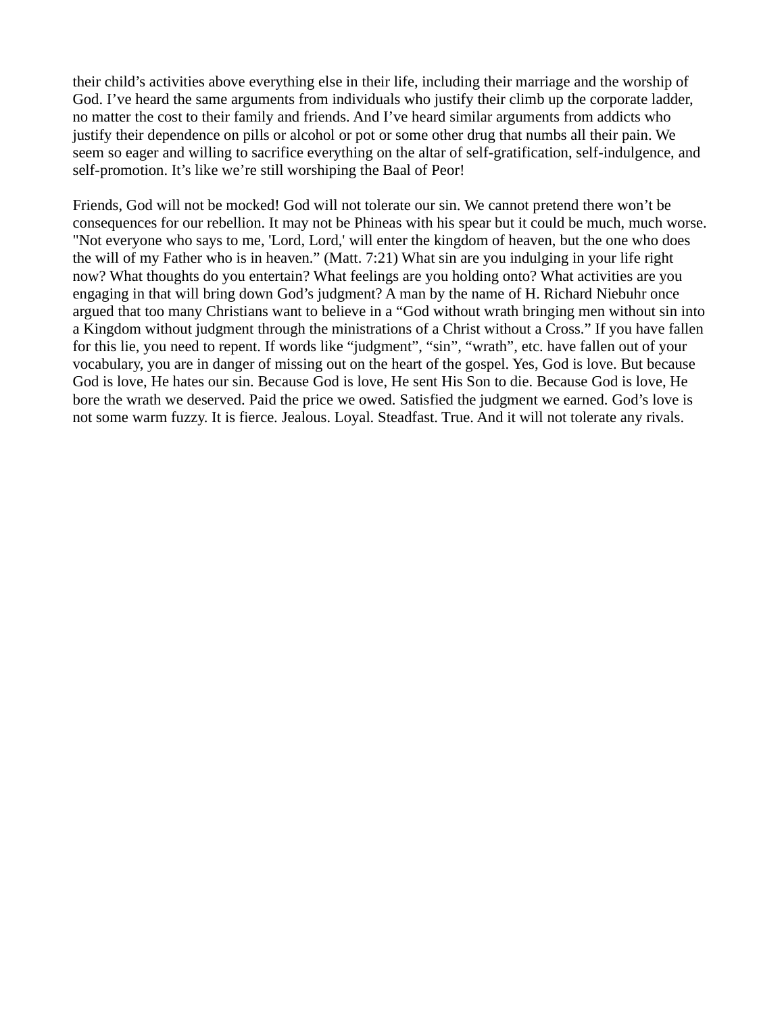their child's activities above everything else in their life, including their marriage and the worship of God. I've heard the same arguments from individuals who justify their climb up the corporate ladder, no matter the cost to their family and friends. And I've heard similar arguments from addicts who justify their dependence on pills or alcohol or pot or some other drug that numbs all their pain. We seem so eager and willing to sacrifice everything on the altar of self-gratification, self-indulgence, and self-promotion. It's like we're still worshiping the Baal of Peor!

Friends, God will not be mocked! God will not tolerate our sin. We cannot pretend there won't be consequences for our rebellion. It may not be Phineas with his spear but it could be much, much worse. "Not everyone who says to me, 'Lord, Lord,' will enter the kingdom of heaven, but the one who does the will of my Father who is in heaven." (Matt. 7:21) What sin are you indulging in your life right now? What thoughts do you entertain? What feelings are you holding onto? What activities are you engaging in that will bring down God's judgment? A man by the name of H. Richard Niebuhr once argued that too many Christians want to believe in a "God without wrath bringing men without sin into a Kingdom without judgment through the ministrations of a Christ without a Cross." If you have fallen for this lie, you need to repent. If words like "judgment", "sin", "wrath", etc. have fallen out of your vocabulary, you are in danger of missing out on the heart of the gospel. Yes, God is love. But because God is love, He hates our sin. Because God is love, He sent His Son to die. Because God is love, He bore the wrath we deserved. Paid the price we owed. Satisfied the judgment we earned. God's love is not some warm fuzzy. It is fierce. Jealous. Loyal. Steadfast. True. And it will not tolerate any rivals.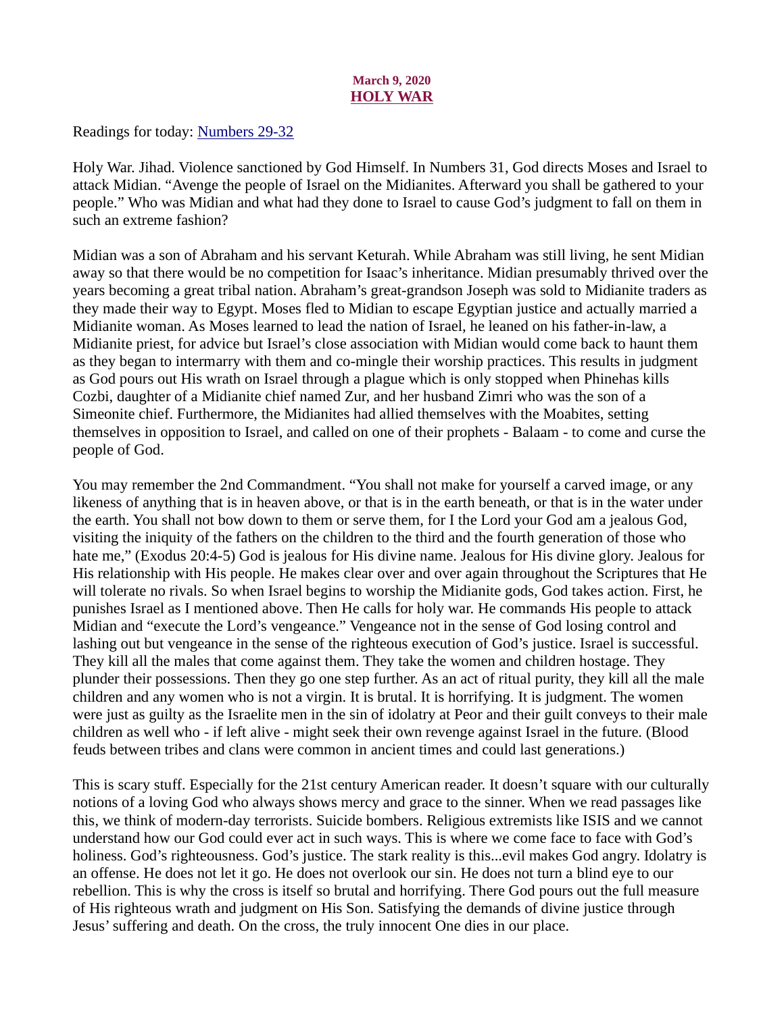# March 9, 2020 HOLY WAR

<span id="page-12-0"></span>[Readings for today: Numbers 29-32](https://www.biblegateway.com/passage/?search=Numbers+29-32&version=ESV)

Holy War. Jihad. Violence sanctioned by God Himself. In Numbers 31, God directs Moses and Israel to attack Midian. "Avenge the people of Israel on the Midianites. Afterward you shall be gathered to your people." Who was Midian and what had they done to Israel to cause God's judgment to fall on them in such an extreme fashion?

Midian was a son of Abraham and his servant Keturah. While Abraham was still living, he sent Midian away so that there would be no competition for Isaac's inheritance. Midian presumably thrived over the years becoming a great tribal nation. Abraham's great-grandson Joseph was sold to Midianite traders as they made their way to Egypt. Moses fled to Midian to escape Egyptian justice and actually married a Midianite woman. As Moses learned to lead the nation of Israel, he leaned on his father-in-law, a Midianite priest, for advice but Israel's close association with Midian would come back to haunt them as they began to intermarry with them and co-mingle their worship practices. This results in judgment as God pours out His wrath on Israel through a plague which is only stopped when Phinehas kills Cozbi, daughter of a Midianite chief named Zur, and her husband Zimri who was the son of a Simeonite chief. Furthermore, the Midianites had allied themselves with the Moabites, setting themselves in opposition to Israel, and called on one of their prophets - Balaam - to come and curse the people of God.

You may remember the 2nd Commandment. "You shall not make for yourself a carved image, or any likeness of anything that is in heaven above, or that is in the earth beneath, or that is in the water under the earth. You shall not bow down to them or serve them, for I the Lord your God am a jealous God, visiting the iniquity of the fathers on the children to the third and the fourth generation of those who hate me," (Exodus 20:4-5) God is jealous for His divine name. Jealous for His divine glory. Jealous for His relationship with His people. He makes clear over and over again throughout the Scriptures that He will tolerate no rivals. So when Israel begins to worship the Midianite gods, God takes action. First, he punishes Israel as I mentioned above. Then He calls for holy war. He commands His people to attack Midian and "execute the Lord's vengeance." Vengeance not in the sense of God losing control and lashing out but vengeance in the sense of the righteous execution of God's justice. Israel is successful. They kill all the males that come against them. They take the women and children hostage. They plunder their possessions. Then they go one step further. As an act of ritual purity, they kill all the male children and any women who is not a virgin. It is brutal. It is horrifying. It is judgment. The women were just as guilty as the Israelite men in the sin of idolatry at Peor and their guilt conveys to their male children as well who - if left alive - might seek their own revenge against Israel in the future. (Blood feuds between tribes and clans were common in ancient times and could last generations.)

This is scary stuff. Especially for the 21st century American reader. It doesn't square with our culturally notions of a loving God who always shows mercy and grace to the sinner. When we read passages like this, we think of modern-day terrorists. Suicide bombers. Religious extremists like ISIS and we cannot understand how our God could ever act in such ways. This is where we come face to face with God's holiness. God's righteousness. God's justice. The stark reality is this...evil makes God angry. Idolatry is an offense. He does not let it go. He does not overlook our sin. He does not turn a blind eye to our rebellion. This is why the cross is itself so brutal and horrifying. There God pours out the full measure of His righteous wrath and judgment on His Son. Satisfying the demands of divine justice through Jesus' suffering and death. On the cross, the truly innocent One dies in our place.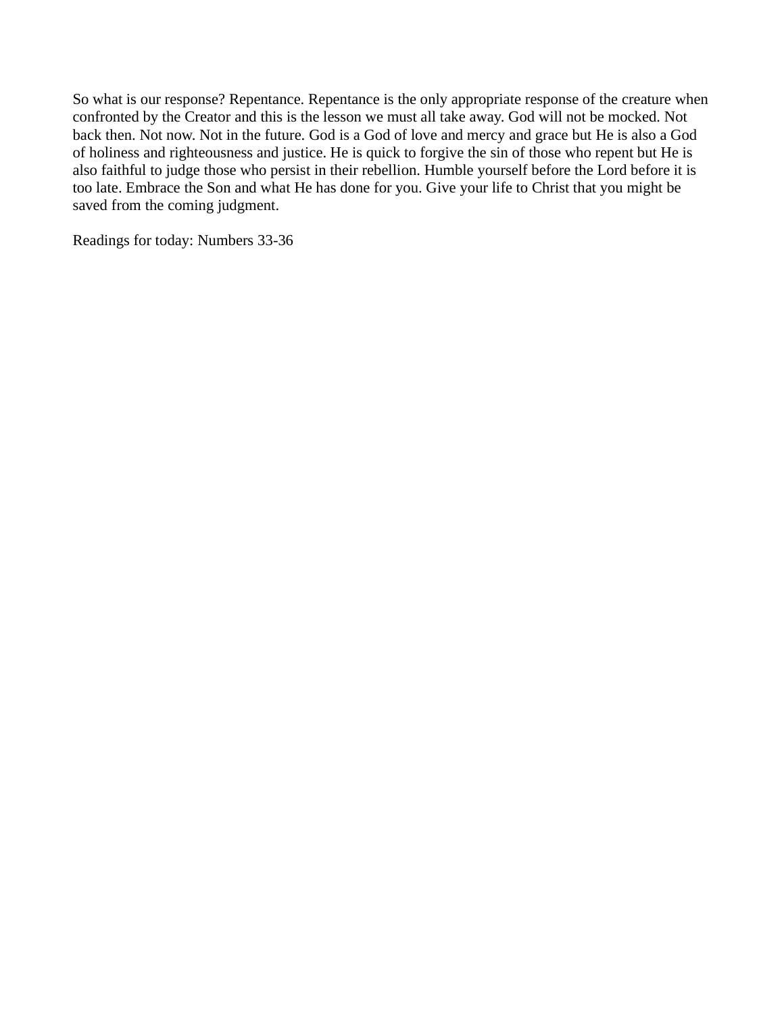So what is our response? Repentance. Repentance is the only appropriate response of the creature when confronted by the Creator and this is the lesson we must all take away. God will not be mocked. Not back then. Not now. Not in the future. God is a God of love and mercy and grace but He is also a God of holiness and righteousness and justice. He is quick to forgive the sin of those who repent but He is also faithful to judge those who persist in their rebellion. Humble yourself before the Lord before it is too late. Embrace the Son and what He has done for you. Give your life to Christ that you might be saved from the coming judgment.

Readings for today: Numbers 33-36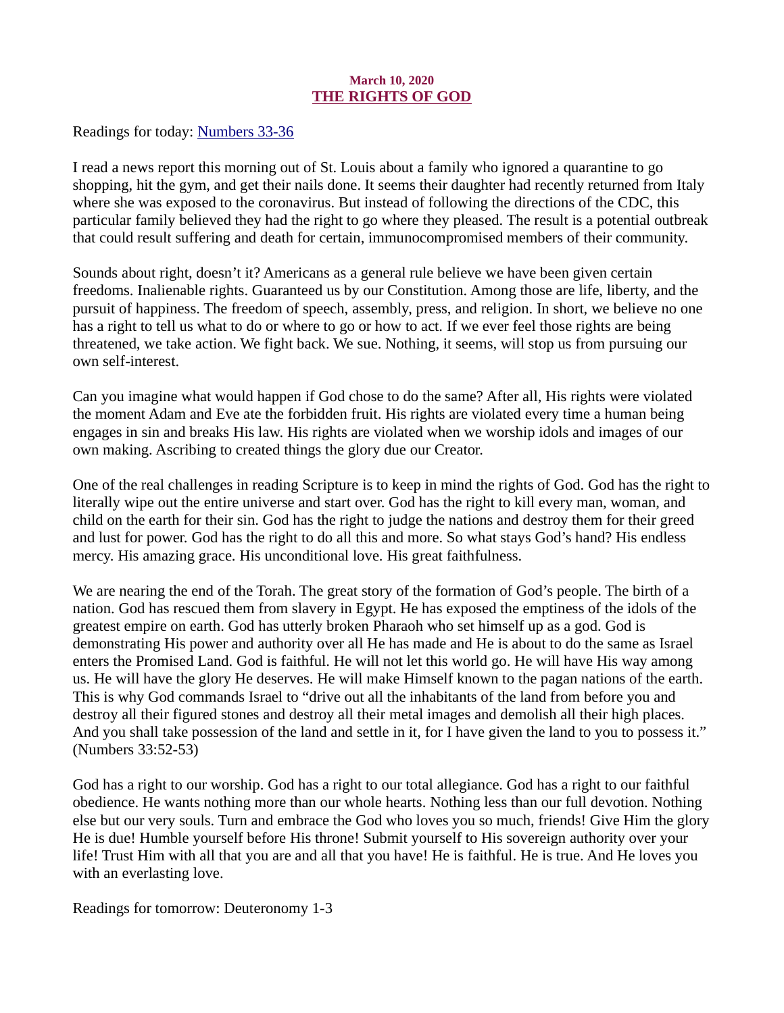# March 10, 2020 THE RIGHTS OF GOD

<span id="page-14-0"></span>[Readings for today: Numbers 33-36](https://www.biblegateway.com/passage/?search=Numbers+33-36&version=ESV)

I read a news report this morning out of St. Louis about a family who ignored a quarantine to go shopping, hit the gym, and get their nails done. It seems their daughter had recently returned from Italy where she was exposed to the coronavirus. But instead of following the directions of the CDC, this particular family believed they had the right to go where they pleased. The result is a potential outbreak that could result suffering and death for certain, immunocompromised members of their community.

Sounds about right, doesn't it? Americans as a general rule believe we have been given certain freedoms. Inalienable rights. Guaranteed us by our Constitution. Among those are life, liberty, and the pursuit of happiness. The freedom of speech, assembly, press, and religion. In short, we believe no one has a right to tell us what to do or where to go or how to act. If we ever feel those rights are being threatened, we take action. We fight back. We sue. Nothing, it seems, will stop us from pursuing our own self-interest.

Can you imagine what would happen if God chose to do the same? After all, His rights were violated the moment Adam and Eve ate the forbidden fruit. His rights are violated every time a human being engages in sin and breaks His law. His rights are violated when we worship idols and images of our own making. Ascribing to created things the glory due our Creator.

One of the real challenges in reading Scripture is to keep in mind the rights of God. God has the right to literally wipe out the entire universe and start over. God has the right to kill every man, woman, and child on the earth for their sin. God has the right to judge the nations and destroy them for their greed and lust for power. God has the right to do all this and more. So what stays God's hand? His endless mercy. His amazing grace. His unconditional love. His great faithfulness.

We are nearing the end of the Torah. The great story of the formation of God's people. The birth of a nation. God has rescued them from slavery in Egypt. He has exposed the emptiness of the idols of the greatest empire on earth. God has utterly broken Pharaoh who set himself up as a god. God is demonstrating His power and authority over all He has made and He is about to do the same as Israel enters the Promised Land. God is faithful. He will not let this world go. He will have His way among us. He will have the glory He deserves. He will make Himself known to the pagan nations of the earth. This is why God commands Israel to "drive out all the inhabitants of the land from before you and destroy all their figured stones and destroy all their metal images and demolish all their high places. And you shall take possession of the land and settle in it, for I have given the land to you to possess it." (Numbers 33:52-53)

God has a right to our worship. God has a right to our total allegiance. God has a right to our faithful obedience. He wants nothing more than our whole hearts. Nothing less than our full devotion. Nothing else but our very souls. Turn and embrace the God who loves you so much, friends! Give Him the glory He is due! Humble yourself before His throne! Submit yourself to His sovereign authority over your life! Trust Him with all that you are and all that you have! He is faithful. He is true. And He loves you with an everlasting love.

Readings for tomorrow: Deuteronomy 1-3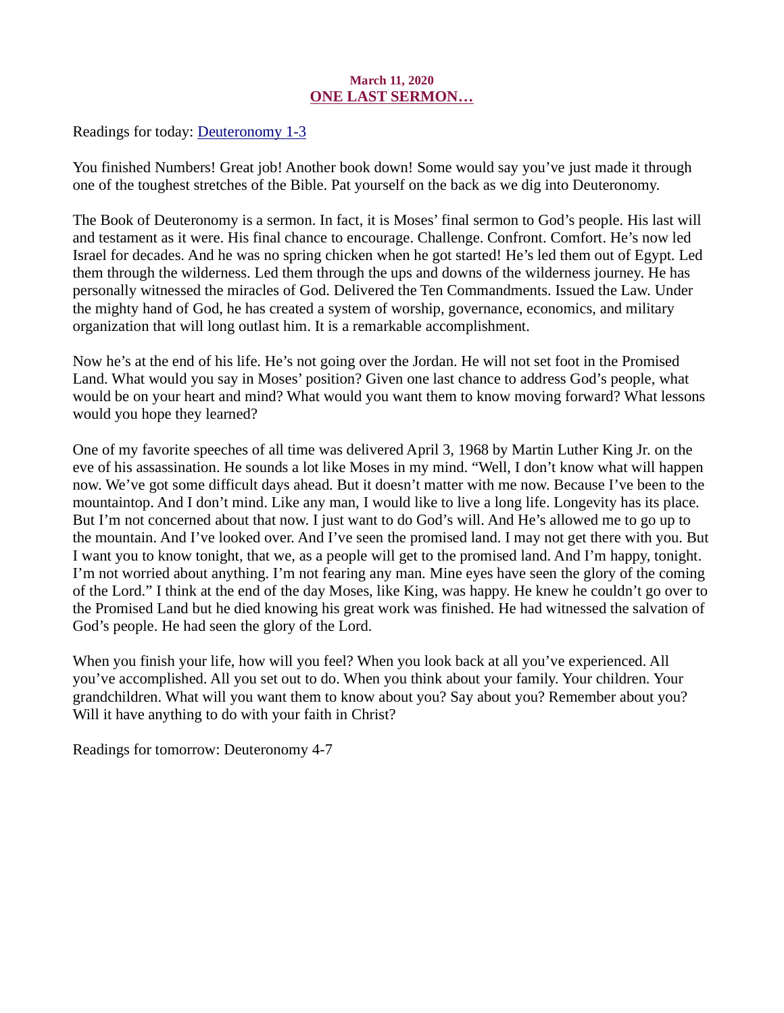# March 11, 2020 ONE LAST SERMON…

<span id="page-15-0"></span>Readings for today: **Deuteronomy 1-3** 

You finished Numbers! Great job! Another book down! Some would say you've just made it through one of the toughest stretches of the Bible. Pat yourself on the back as we dig into Deuteronomy.

The Book of Deuteronomy is a sermon. In fact, it is Moses' final sermon to God's people. His last will and testament as it were. His final chance to encourage. Challenge. Confront. Comfort. He's now led Israel for decades. And he was no spring chicken when he got started! He's led them out of Egypt. Led them through the wilderness. Led them through the ups and downs of the wilderness journey. He has personally witnessed the miracles of God. Delivered the Ten Commandments. Issued the Law. Under the mighty hand of God, he has created a system of worship, governance, economics, and military organization that will long outlast him. It is a remarkable accomplishment.

Now he's at the end of his life. He's not going over the Jordan. He will not set foot in the Promised Land. What would you say in Moses' position? Given one last chance to address God's people, what would be on your heart and mind? What would you want them to know moving forward? What lessons would you hope they learned?

One of my favorite speeches of all time was delivered April 3, 1968 by Martin Luther King Jr. on the eve of his assassination. He sounds a lot like Moses in my mind. "Well, I don't know what will happen now. We've got some difficult days ahead. But it doesn't matter with me now. Because I've been to the mountaintop. And I don't mind. Like any man, I would like to live a long life. Longevity has its place. But I'm not concerned about that now. I just want to do God's will. And He's allowed me to go up to the mountain. And I've looked over. And I've seen the promised land. I may not get there with you. But I want you to know tonight, that we, as a people will get to the promised land. And I'm happy, tonight. I'm not worried about anything. I'm not fearing any man. Mine eyes have seen the glory of the coming of the Lord." I think at the end of the day Moses, like King, was happy. He knew he couldn't go over to the Promised Land but he died knowing his great work was finished. He had witnessed the salvation of God's people. He had seen the glory of the Lord.

When you finish your life, how will you feel? When you look back at all you've experienced. All you've accomplished. All you set out to do. When you think about your family. Your children. Your grandchildren. What will you want them to know about you? Say about you? Remember about you? Will it have anything to do with your faith in Christ?

Readings for tomorrow: Deuteronomy 4-7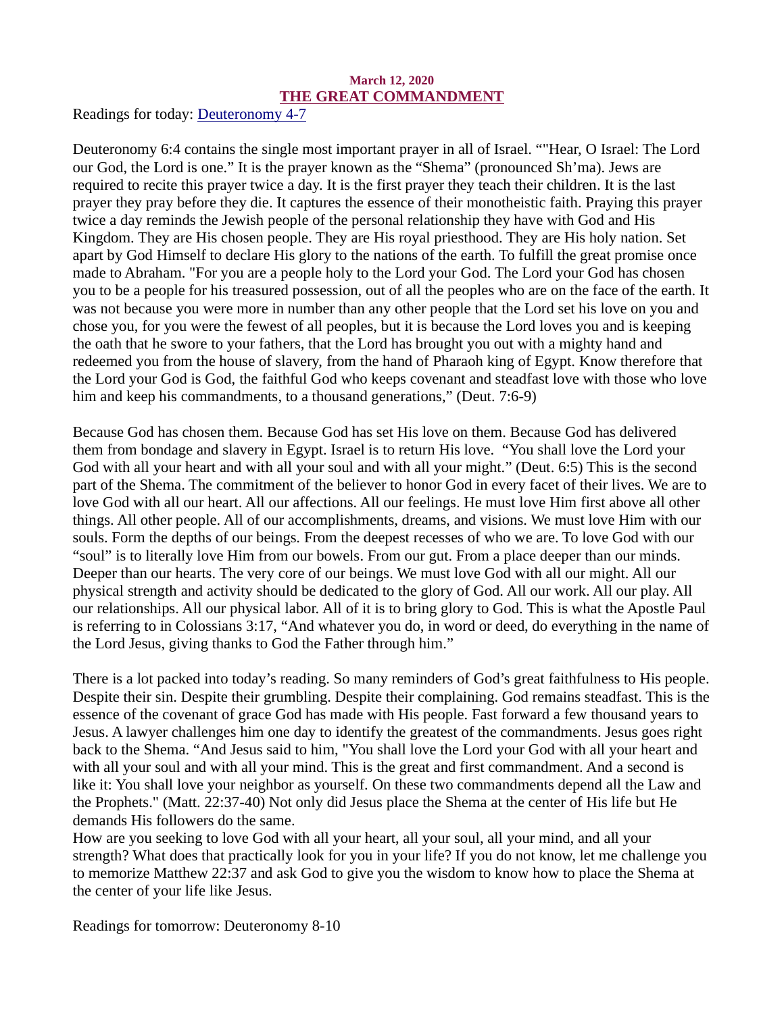## March 12, 2020 THE GREAT COMMANDMENT

<span id="page-16-0"></span>[Readings for today: Deuteronomy 4-7](https://www.biblegateway.com/passage/?search=Deuteronomy+4-7&version=ESV)

Deuteronomy 6:4 contains the single most important prayer in all of Israel. ""Hear, O Israel: The Lord our God, the Lord is one." It is the prayer known as the "Shema" (pronounced Sh'ma). Jews are required to recite this prayer twice a day. It is the first prayer they teach their children. It is the last prayer they pray before they die. It captures the essence of their monotheistic faith. Praying this prayer twice a day reminds the Jewish people of the personal relationship they have with God and His Kingdom. They are His chosen people. They are His royal priesthood. They are His holy nation. Set apart by God Himself to declare His glory to the nations of the earth. To fulfill the great promise once made to Abraham. "For you are a people holy to the Lord your God. The Lord your God has chosen you to be a people for his treasured possession, out of all the peoples who are on the face of the earth. It was not because you were more in number than any other people that the Lord set his love on you and chose you, for you were the fewest of all peoples, but it is because the Lord loves you and is keeping the oath that he swore to your fathers, that the Lord has brought you out with a mighty hand and redeemed you from the house of slavery, from the hand of Pharaoh king of Egypt. Know therefore that the Lord your God is God, the faithful God who keeps covenant and steadfast love with those who love him and keep his commandments, to a thousand generations," (Deut. 7:6-9)

Because God has chosen them. Because God has set His love on them. Because God has delivered them from bondage and slavery in Egypt. Israel is to return His love. "You shall love the Lord your God with all your heart and with all your soul and with all your might." (Deut. 6:5) This is the second part of the Shema. The commitment of the believer to honor God in every facet of their lives. We are to love God with all our heart. All our affections. All our feelings. He must love Him first above all other things. All other people. All of our accomplishments, dreams, and visions. We must love Him with our souls. Form the depths of our beings. From the deepest recesses of who we are. To love God with our "soul" is to literally love Him from our bowels. From our gut. From a place deeper than our minds. Deeper than our hearts. The very core of our beings. We must love God with all our might. All our physical strength and activity should be dedicated to the glory of God. All our work. All our play. All our relationships. All our physical labor. All of it is to bring glory to God. This is what the Apostle Paul is referring to in Colossians 3:17, "And whatever you do, in word or deed, do everything in the name of the Lord Jesus, giving thanks to God the Father through him."

There is a lot packed into today's reading. So many reminders of God's great faithfulness to His people. Despite their sin. Despite their grumbling. Despite their complaining. God remains steadfast. This is the essence of the covenant of grace God has made with His people. Fast forward a few thousand years to Jesus. A lawyer challenges him one day to identify the greatest of the commandments. Jesus goes right back to the Shema. "And Jesus said to him, "You shall love the Lord your God with all your heart and with all your soul and with all your mind. This is the great and first commandment. And a second is like it: You shall love your neighbor as yourself. On these two commandments depend all the Law and the Prophets." (Matt. 22:37-40) Not only did Jesus place the Shema at the center of His life but He demands His followers do the same.

How are you seeking to love God with all your heart, all your soul, all your mind, and all your strength? What does that practically look for you in your life? If you do not know, let me challenge you to memorize Matthew 22:37 and ask God to give you the wisdom to know how to place the Shema at the center of your life like Jesus.

Readings for tomorrow: Deuteronomy 8-10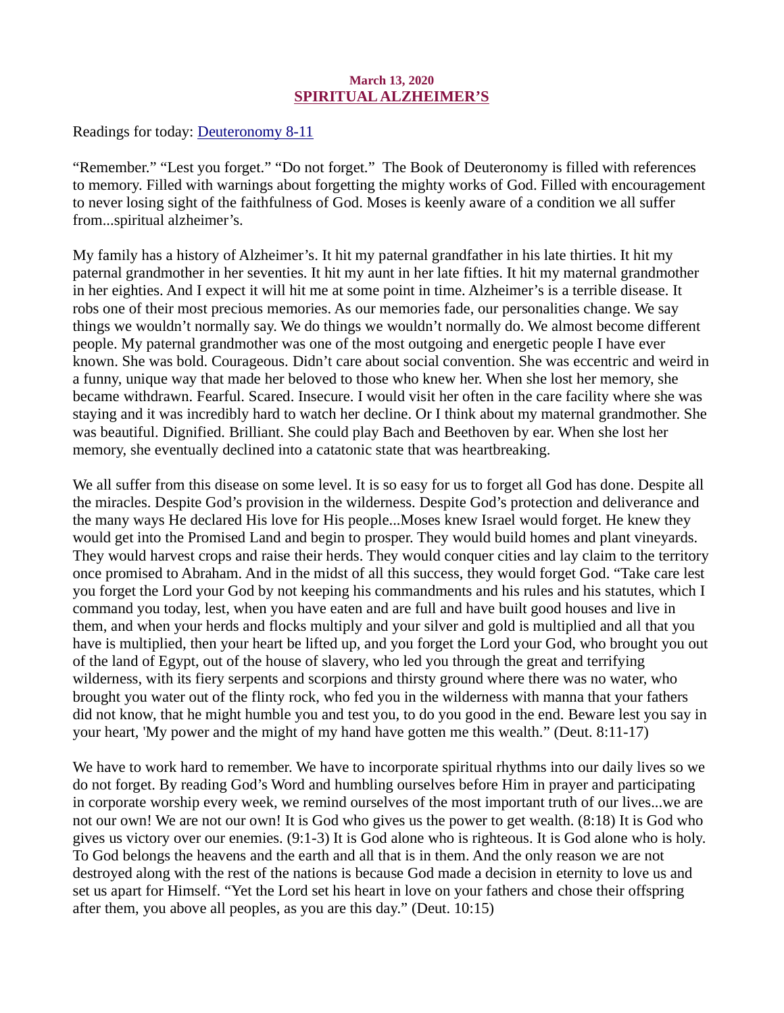# March 13, 2020 SPIRITUAL ALZHEIMER'S

<span id="page-17-0"></span>Readings for today: **Deuteronomy 8-11** 

"Remember." "Lest you forget." "Do not forget." The Book of Deuteronomy is filled with references to memory. Filled with warnings about forgetting the mighty works of God. Filled with encouragement to never losing sight of the faithfulness of God. Moses is keenly aware of a condition we all suffer from...spiritual alzheimer's.

My family has a history of Alzheimer's. It hit my paternal grandfather in his late thirties. It hit my paternal grandmother in her seventies. It hit my aunt in her late fifties. It hit my maternal grandmother in her eighties. And I expect it will hit me at some point in time. Alzheimer's is a terrible disease. It robs one of their most precious memories. As our memories fade, our personalities change. We say things we wouldn't normally say. We do things we wouldn't normally do. We almost become different people. My paternal grandmother was one of the most outgoing and energetic people I have ever known. She was bold. Courageous. Didn't care about social convention. She was eccentric and weird in a funny, unique way that made her beloved to those who knew her. When she lost her memory, she became withdrawn. Fearful. Scared. Insecure. I would visit her often in the care facility where she was staying and it was incredibly hard to watch her decline. Or I think about my maternal grandmother. She was beautiful. Dignified. Brilliant. She could play Bach and Beethoven by ear. When she lost her memory, she eventually declined into a catatonic state that was heartbreaking.

We all suffer from this disease on some level. It is so easy for us to forget all God has done. Despite all the miracles. Despite God's provision in the wilderness. Despite God's protection and deliverance and the many ways He declared His love for His people...Moses knew Israel would forget. He knew they would get into the Promised Land and begin to prosper. They would build homes and plant vineyards. They would harvest crops and raise their herds. They would conquer cities and lay claim to the territory once promised to Abraham. And in the midst of all this success, they would forget God. "Take care lest you forget the Lord your God by not keeping his commandments and his rules and his statutes, which I command you today, lest, when you have eaten and are full and have built good houses and live in them, and when your herds and flocks multiply and your silver and gold is multiplied and all that you have is multiplied, then your heart be lifted up, and you forget the Lord your God, who brought you out of the land of Egypt, out of the house of slavery, who led you through the great and terrifying wilderness, with its fiery serpents and scorpions and thirsty ground where there was no water, who brought you water out of the flinty rock, who fed you in the wilderness with manna that your fathers did not know, that he might humble you and test you, to do you good in the end. Beware lest you say in your heart, 'My power and the might of my hand have gotten me this wealth." (Deut. 8:11-17)

We have to work hard to remember. We have to incorporate spiritual rhythms into our daily lives so we do not forget. By reading God's Word and humbling ourselves before Him in prayer and participating in corporate worship every week, we remind ourselves of the most important truth of our lives...we are not our own! We are not our own! It is God who gives us the power to get wealth. (8:18) It is God who gives us victory over our enemies. (9:1-3) It is God alone who is righteous. It is God alone who is holy. To God belongs the heavens and the earth and all that is in them. And the only reason we are not destroyed along with the rest of the nations is because God made a decision in eternity to love us and set us apart for Himself. "Yet the Lord set his heart in love on your fathers and chose their offspring after them, you above all peoples, as you are this day." (Deut. 10:15)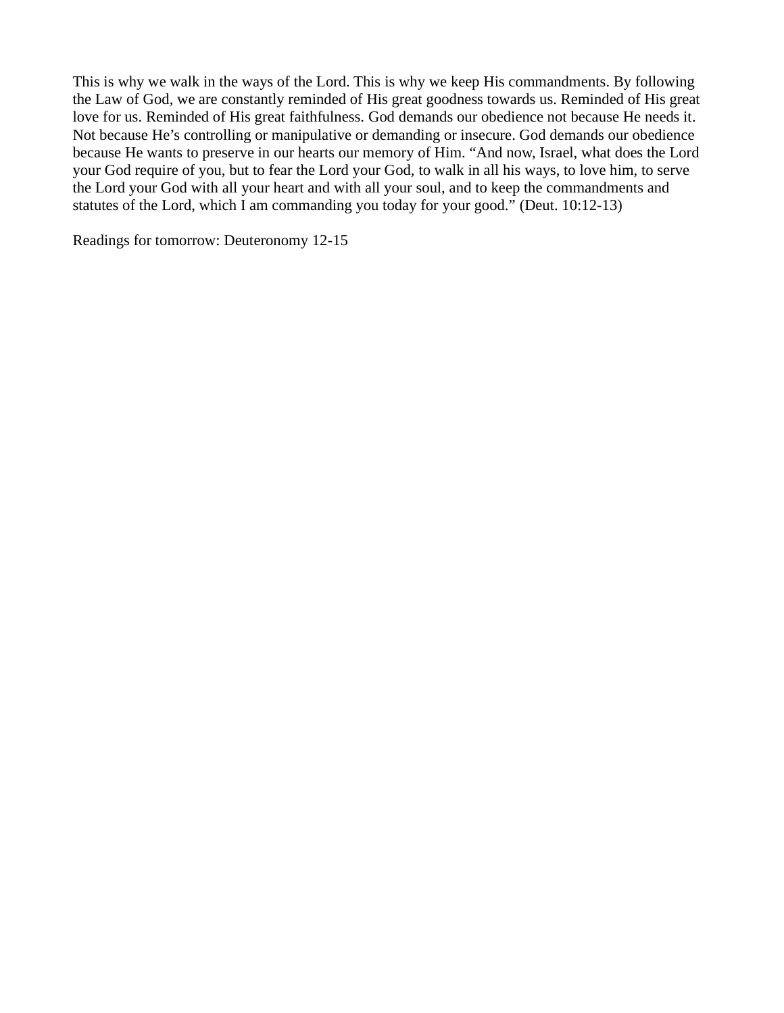This is why we walk in the ways of the Lord. This is why we keep His commandments. By following the Law of God, we are constantly reminded of His great goodness towards us. Reminded of His great love for us. Reminded of His great faithfulness. God demands our obedience not because He needs it. Not because He's controlling or manipulative or demanding or insecure. God demands our obedience because He wants to preserve in our hearts our memory of Him. "And now, Israel, what does the Lord your God require of you, but to fear the Lord your God, to walk in all his ways, to love him, to serve the Lord your God with all your heart and with all your soul, and to keep the commandments and statutes of the Lord, which I am commanding you today for your good." (Deut. 10:12-13)

Readings for tomorrow: Deuteronomy 12-15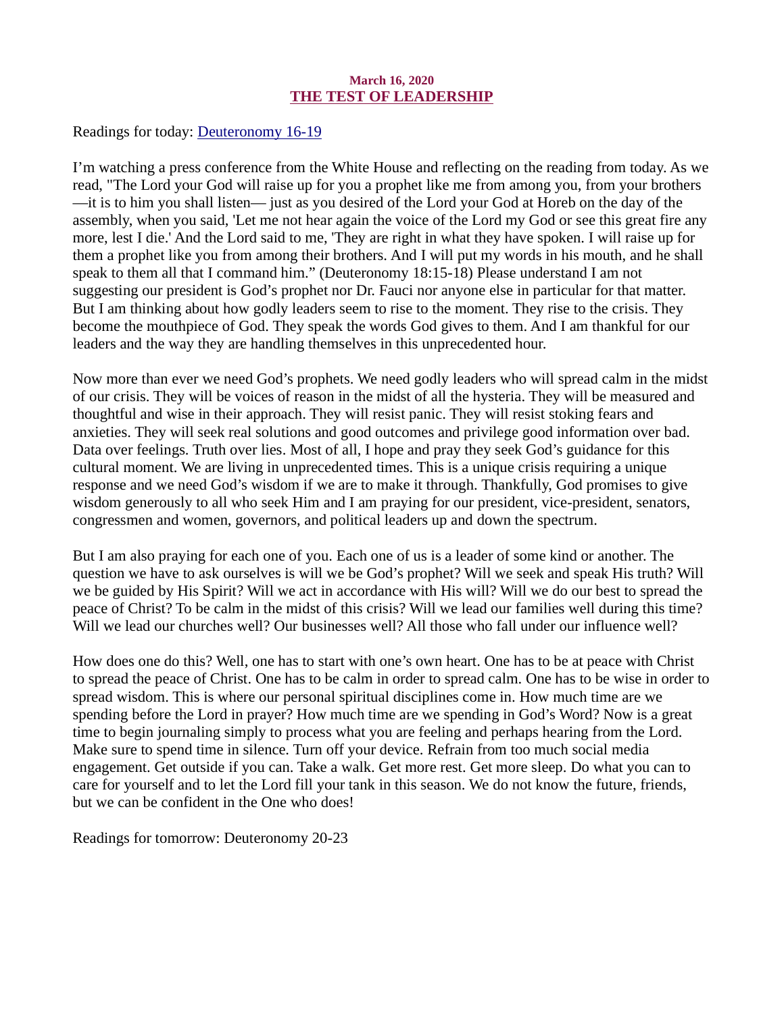#### March 16, 2020 THE TEST OF LEADERSHIP

<span id="page-19-0"></span>[Readings for today: Deuteronomy 16-19](https://www.biblegateway.com/passage/?search=Deuteronomy+16-19&version=ESV)

I'm watching a press conference from the White House and reflecting on the reading from today. As we read, "The Lord your God will raise up for you a prophet like me from among you, from your brothers —it is to him you shall listen— just as you desired of the Lord your God at Horeb on the day of the assembly, when you said, 'Let me not hear again the voice of the Lord my God or see this great fire any more, lest I die.' And the Lord said to me, 'They are right in what they have spoken. I will raise up for them a prophet like you from among their brothers. And I will put my words in his mouth, and he shall speak to them all that I command him." (Deuteronomy 18:15-18) Please understand I am not suggesting our president is God's prophet nor Dr. Fauci nor anyone else in particular for that matter. But I am thinking about how godly leaders seem to rise to the moment. They rise to the crisis. They become the mouthpiece of God. They speak the words God gives to them. And I am thankful for our leaders and the way they are handling themselves in this unprecedented hour.

Now more than ever we need God's prophets. We need godly leaders who will spread calm in the midst of our crisis. They will be voices of reason in the midst of all the hysteria. They will be measured and thoughtful and wise in their approach. They will resist panic. They will resist stoking fears and anxieties. They will seek real solutions and good outcomes and privilege good information over bad. Data over feelings. Truth over lies. Most of all, I hope and pray they seek God's guidance for this cultural moment. We are living in unprecedented times. This is a unique crisis requiring a unique response and we need God's wisdom if we are to make it through. Thankfully, God promises to give wisdom generously to all who seek Him and I am praying for our president, vice-president, senators, congressmen and women, governors, and political leaders up and down the spectrum.

But I am also praying for each one of you. Each one of us is a leader of some kind or another. The question we have to ask ourselves is will we be God's prophet? Will we seek and speak His truth? Will we be guided by His Spirit? Will we act in accordance with His will? Will we do our best to spread the peace of Christ? To be calm in the midst of this crisis? Will we lead our families well during this time? Will we lead our churches well? Our businesses well? All those who fall under our influence well?

How does one do this? Well, one has to start with one's own heart. One has to be at peace with Christ to spread the peace of Christ. One has to be calm in order to spread calm. One has to be wise in order to spread wisdom. This is where our personal spiritual disciplines come in. How much time are we spending before the Lord in prayer? How much time are we spending in God's Word? Now is a great time to begin journaling simply to process what you are feeling and perhaps hearing from the Lord. Make sure to spend time in silence. Turn off your device. Refrain from too much social media engagement. Get outside if you can. Take a walk. Get more rest. Get more sleep. Do what you can to care for yourself and to let the Lord fill your tank in this season. We do not know the future, friends, but we can be confident in the One who does!

Readings for tomorrow: Deuteronomy 20-23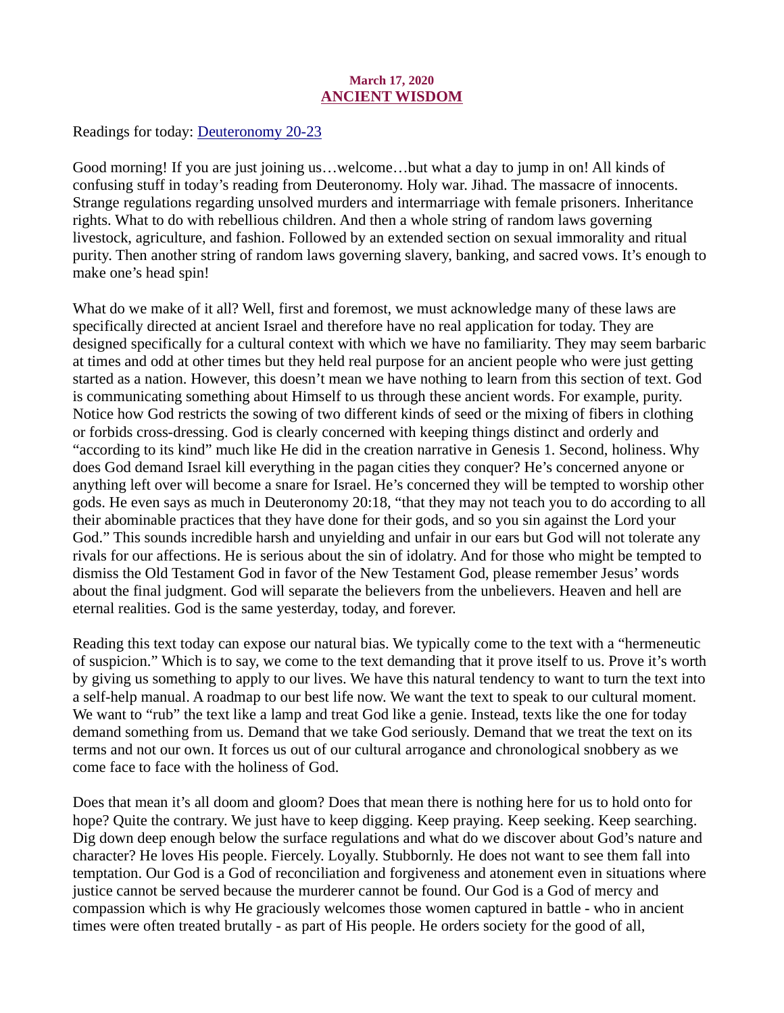# March 17, 2020 ANCIENT WISDOM

<span id="page-20-0"></span>[Readings for today: Deuteronomy 20-23](https://www.biblegateway.com/passage/?search=Deuteronomy+20-23&version=ESV)

Good morning! If you are just joining us…welcome…but what a day to jump in on! All kinds of confusing stuff in today's reading from Deuteronomy. Holy war. Jihad. The massacre of innocents. Strange regulations regarding unsolved murders and intermarriage with female prisoners. Inheritance rights. What to do with rebellious children. And then a whole string of random laws governing livestock, agriculture, and fashion. Followed by an extended section on sexual immorality and ritual purity. Then another string of random laws governing slavery, banking, and sacred vows. It's enough to make one's head spin!

What do we make of it all? Well, first and foremost, we must acknowledge many of these laws are specifically directed at ancient Israel and therefore have no real application for today. They are designed specifically for a cultural context with which we have no familiarity. They may seem barbaric at times and odd at other times but they held real purpose for an ancient people who were just getting started as a nation. However, this doesn't mean we have nothing to learn from this section of text. God is communicating something about Himself to us through these ancient words. For example, purity. Notice how God restricts the sowing of two different kinds of seed or the mixing of fibers in clothing or forbids cross-dressing. God is clearly concerned with keeping things distinct and orderly and "according to its kind" much like He did in the creation narrative in Genesis 1. Second, holiness. Why does God demand Israel kill everything in the pagan cities they conquer? He's concerned anyone or anything left over will become a snare for Israel. He's concerned they will be tempted to worship other gods. He even says as much in Deuteronomy 20:18, "that they may not teach you to do according to all their abominable practices that they have done for their gods, and so you sin against the Lord your God." This sounds incredible harsh and unyielding and unfair in our ears but God will not tolerate any rivals for our affections. He is serious about the sin of idolatry. And for those who might be tempted to dismiss the Old Testament God in favor of the New Testament God, please remember Jesus' words about the final judgment. God will separate the believers from the unbelievers. Heaven and hell are eternal realities. God is the same yesterday, today, and forever.

Reading this text today can expose our natural bias. We typically come to the text with a "hermeneutic of suspicion." Which is to say, we come to the text demanding that it prove itself to us. Prove it's worth by giving us something to apply to our lives. We have this natural tendency to want to turn the text into a self-help manual. A roadmap to our best life now. We want the text to speak to our cultural moment. We want to "rub" the text like a lamp and treat God like a genie. Instead, texts like the one for today demand something from us. Demand that we take God seriously. Demand that we treat the text on its terms and not our own. It forces us out of our cultural arrogance and chronological snobbery as we come face to face with the holiness of God.

Does that mean it's all doom and gloom? Does that mean there is nothing here for us to hold onto for hope? Quite the contrary. We just have to keep digging. Keep praying. Keep seeking. Keep searching. Dig down deep enough below the surface regulations and what do we discover about God's nature and character? He loves His people. Fiercely. Loyally. Stubbornly. He does not want to see them fall into temptation. Our God is a God of reconciliation and forgiveness and atonement even in situations where justice cannot be served because the murderer cannot be found. Our God is a God of mercy and compassion which is why He graciously welcomes those women captured in battle - who in ancient times were often treated brutally - as part of His people. He orders society for the good of all,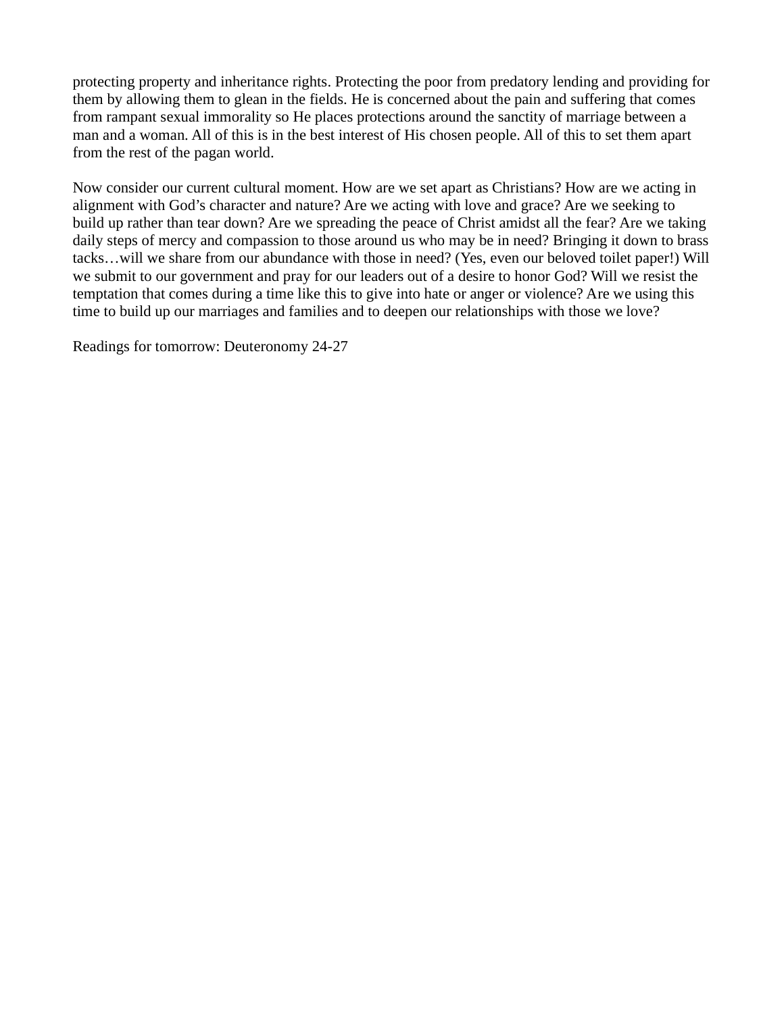protecting property and inheritance rights. Protecting the poor from predatory lending and providing for them by allowing them to glean in the fields. He is concerned about the pain and suffering that comes from rampant sexual immorality so He places protections around the sanctity of marriage between a man and a woman. All of this is in the best interest of His chosen people. All of this to set them apart from the rest of the pagan world.

Now consider our current cultural moment. How are we set apart as Christians? How are we acting in alignment with God's character and nature? Are we acting with love and grace? Are we seeking to build up rather than tear down? Are we spreading the peace of Christ amidst all the fear? Are we taking daily steps of mercy and compassion to those around us who may be in need? Bringing it down to brass tacks…will we share from our abundance with those in need? (Yes, even our beloved toilet paper!) Will we submit to our government and pray for our leaders out of a desire to honor God? Will we resist the temptation that comes during a time like this to give into hate or anger or violence? Are we using this time to build up our marriages and families and to deepen our relationships with those we love?

Readings for tomorrow: Deuteronomy 24-27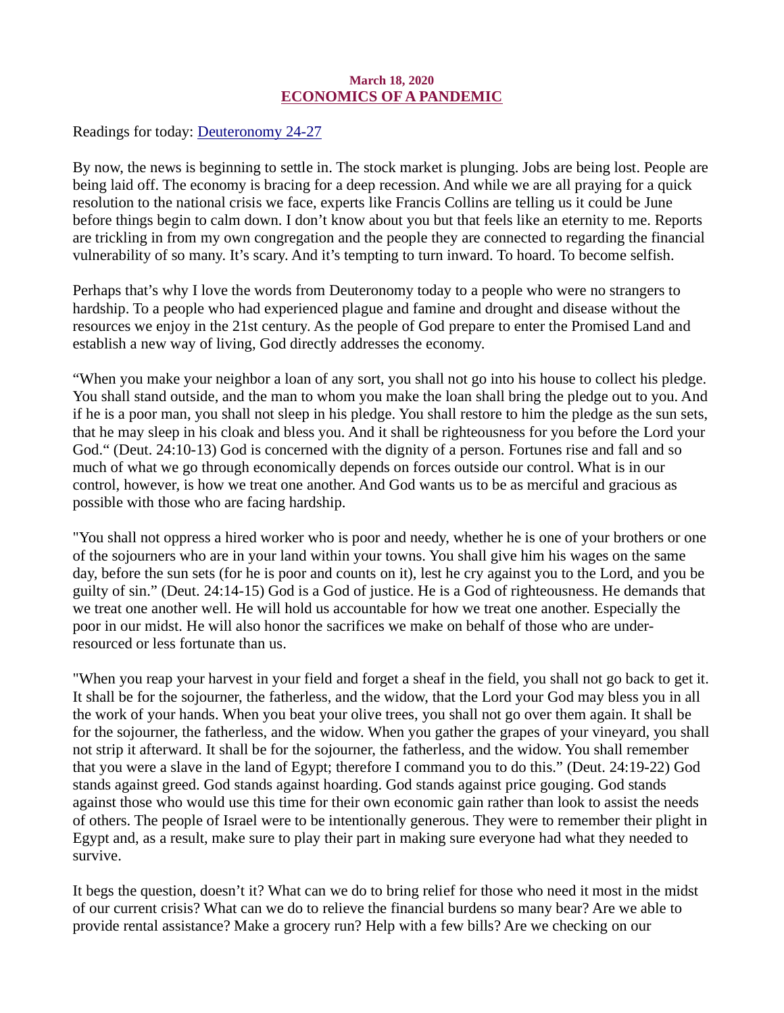# March 18, 2020 ECONOMICS OF A PANDEMIC

<span id="page-22-0"></span>[Readings for today: Deuteronomy 24-27](https://www.biblegateway.com/passage/?search=Deuteronomy+24-27&version=ESV)

By now, the news is beginning to settle in. The stock market is plunging. Jobs are being lost. People are being laid off. The economy is bracing for a deep recession. And while we are all praying for a quick resolution to the national crisis we face, experts like Francis Collins are telling us it could be June before things begin to calm down. I don't know about you but that feels like an eternity to me. Reports are trickling in from my own congregation and the people they are connected to regarding the financial vulnerability of so many. It's scary. And it's tempting to turn inward. To hoard. To become selfish.

Perhaps that's why I love the words from Deuteronomy today to a people who were no strangers to hardship. To a people who had experienced plague and famine and drought and disease without the resources we enjoy in the 21st century. As the people of God prepare to enter the Promised Land and establish a new way of living, God directly addresses the economy.

"When you make your neighbor a loan of any sort, you shall not go into his house to collect his pledge. You shall stand outside, and the man to whom you make the loan shall bring the pledge out to you. And if he is a poor man, you shall not sleep in his pledge. You shall restore to him the pledge as the sun sets, that he may sleep in his cloak and bless you. And it shall be righteousness for you before the Lord your God." (Deut. 24:10-13) God is concerned with the dignity of a person. Fortunes rise and fall and so much of what we go through economically depends on forces outside our control. What is in our control, however, is how we treat one another. And God wants us to be as merciful and gracious as possible with those who are facing hardship.

"You shall not oppress a hired worker who is poor and needy, whether he is one of your brothers or one of the sojourners who are in your land within your towns. You shall give him his wages on the same day, before the sun sets (for he is poor and counts on it), lest he cry against you to the Lord, and you be guilty of sin." (Deut. 24:14-15) God is a God of justice. He is a God of righteousness. He demands that we treat one another well. He will hold us accountable for how we treat one another. Especially the poor in our midst. He will also honor the sacrifices we make on behalf of those who are underresourced or less fortunate than us.

"When you reap your harvest in your field and forget a sheaf in the field, you shall not go back to get it. It shall be for the sojourner, the fatherless, and the widow, that the Lord your God may bless you in all the work of your hands. When you beat your olive trees, you shall not go over them again. It shall be for the sojourner, the fatherless, and the widow. When you gather the grapes of your vineyard, you shall not strip it afterward. It shall be for the sojourner, the fatherless, and the widow. You shall remember that you were a slave in the land of Egypt; therefore I command you to do this." (Deut. 24:19-22) God stands against greed. God stands against hoarding. God stands against price gouging. God stands against those who would use this time for their own economic gain rather than look to assist the needs of others. The people of Israel were to be intentionally generous. They were to remember their plight in Egypt and, as a result, make sure to play their part in making sure everyone had what they needed to survive.

It begs the question, doesn't it? What can we do to bring relief for those who need it most in the midst of our current crisis? What can we do to relieve the financial burdens so many bear? Are we able to provide rental assistance? Make a grocery run? Help with a few bills? Are we checking on our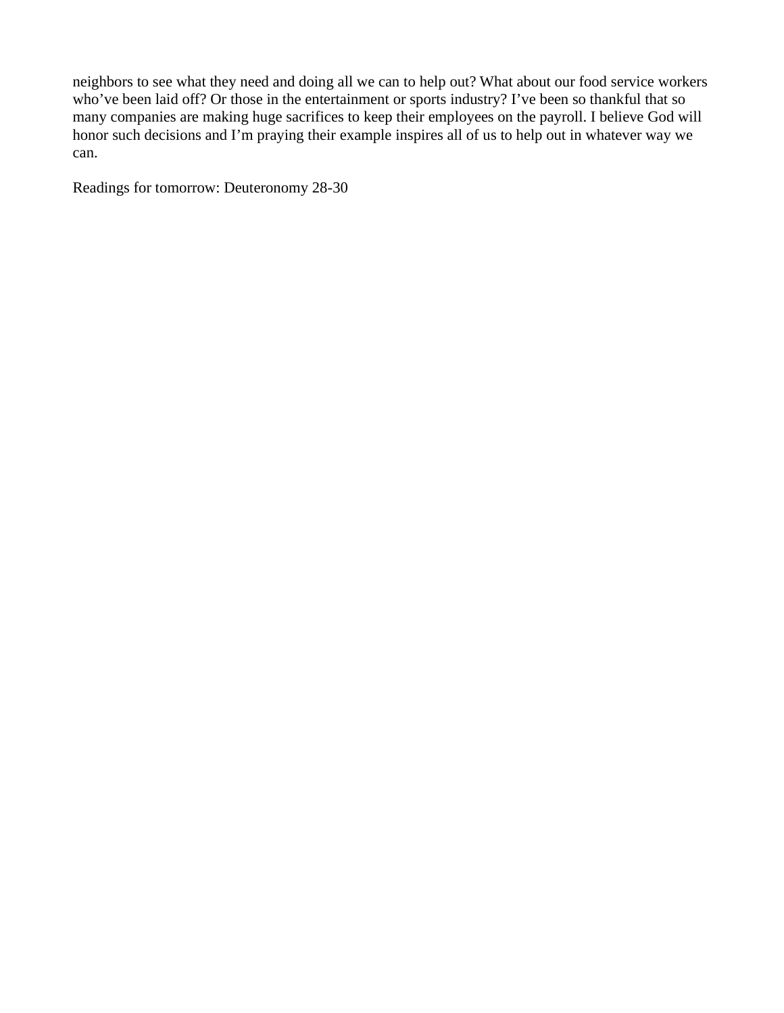neighbors to see what they need and doing all we can to help out? What about our food service workers who've been laid off? Or those in the entertainment or sports industry? I've been so thankful that so many companies are making huge sacrifices to keep their employees on the payroll. I believe God will honor such decisions and I'm praying their example inspires all of us to help out in whatever way we can.

Readings for tomorrow: Deuteronomy 28-30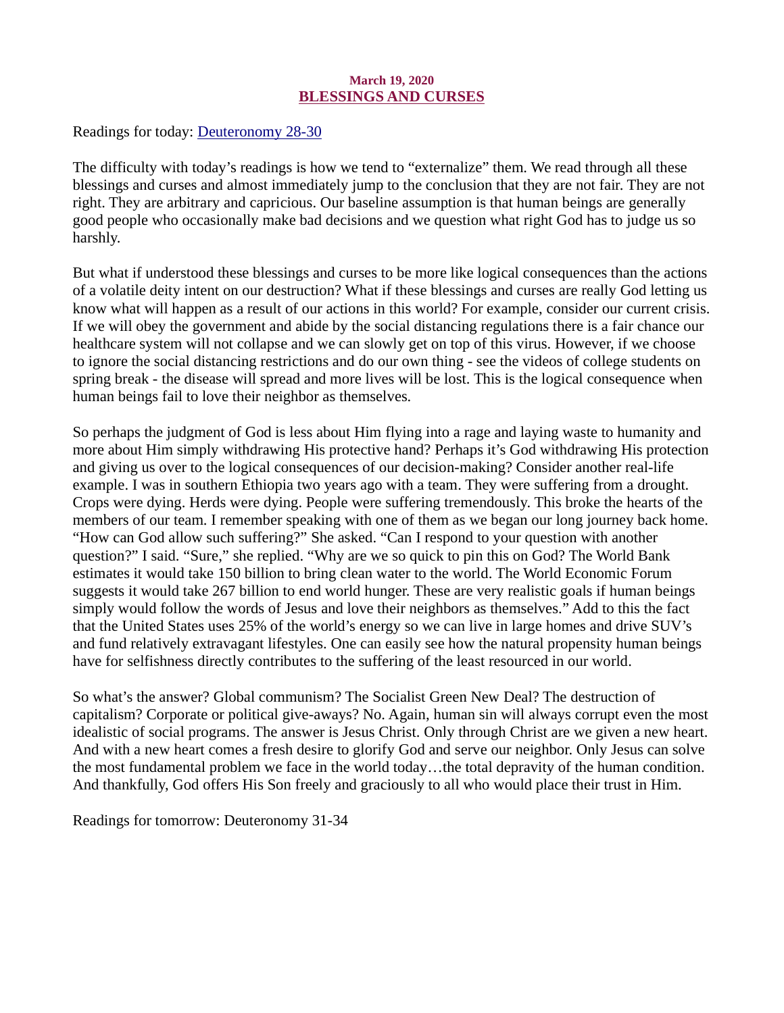# March 19, 2020 BLESSINGS AND CURSES

<span id="page-24-0"></span>[Readings for today: Deuteronomy 28-30](https://www.biblegateway.com/passage/?search=Deuteronomy+28-30&version=ESV)

The difficulty with today's readings is how we tend to "externalize" them. We read through all these blessings and curses and almost immediately jump to the conclusion that they are not fair. They are not right. They are arbitrary and capricious. Our baseline assumption is that human beings are generally good people who occasionally make bad decisions and we question what right God has to judge us so harshly.

But what if understood these blessings and curses to be more like logical consequences than the actions of a volatile deity intent on our destruction? What if these blessings and curses are really God letting us know what will happen as a result of our actions in this world? For example, consider our current crisis. If we will obey the government and abide by the social distancing regulations there is a fair chance our healthcare system will not collapse and we can slowly get on top of this virus. However, if we choose to ignore the social distancing restrictions and do our own thing - see the videos of college students on spring break - the disease will spread and more lives will be lost. This is the logical consequence when human beings fail to love their neighbor as themselves.

So perhaps the judgment of God is less about Him flying into a rage and laying waste to humanity and more about Him simply withdrawing His protective hand? Perhaps it's God withdrawing His protection and giving us over to the logical consequences of our decision-making? Consider another real-life example. I was in southern Ethiopia two years ago with a team. They were suffering from a drought. Crops were dying. Herds were dying. People were suffering tremendously. This broke the hearts of the members of our team. I remember speaking with one of them as we began our long journey back home. "How can God allow such suffering?" She asked. "Can I respond to your question with another question?" I said. "Sure," she replied. "Why are we so quick to pin this on God? The World Bank estimates it would take 150 billion to bring clean water to the world. The World Economic Forum suggests it would take 267 billion to end world hunger. These are very realistic goals if human beings simply would follow the words of Jesus and love their neighbors as themselves." Add to this the fact that the United States uses 25% of the world's energy so we can live in large homes and drive SUV's and fund relatively extravagant lifestyles. One can easily see how the natural propensity human beings have for selfishness directly contributes to the suffering of the least resourced in our world.

So what's the answer? Global communism? The Socialist Green New Deal? The destruction of capitalism? Corporate or political give-aways? No. Again, human sin will always corrupt even the most idealistic of social programs. The answer is Jesus Christ. Only through Christ are we given a new heart. And with a new heart comes a fresh desire to glorify God and serve our neighbor. Only Jesus can solve the most fundamental problem we face in the world today…the total depravity of the human condition. And thankfully, God offers His Son freely and graciously to all who would place their trust in Him.

Readings for tomorrow: Deuteronomy 31-34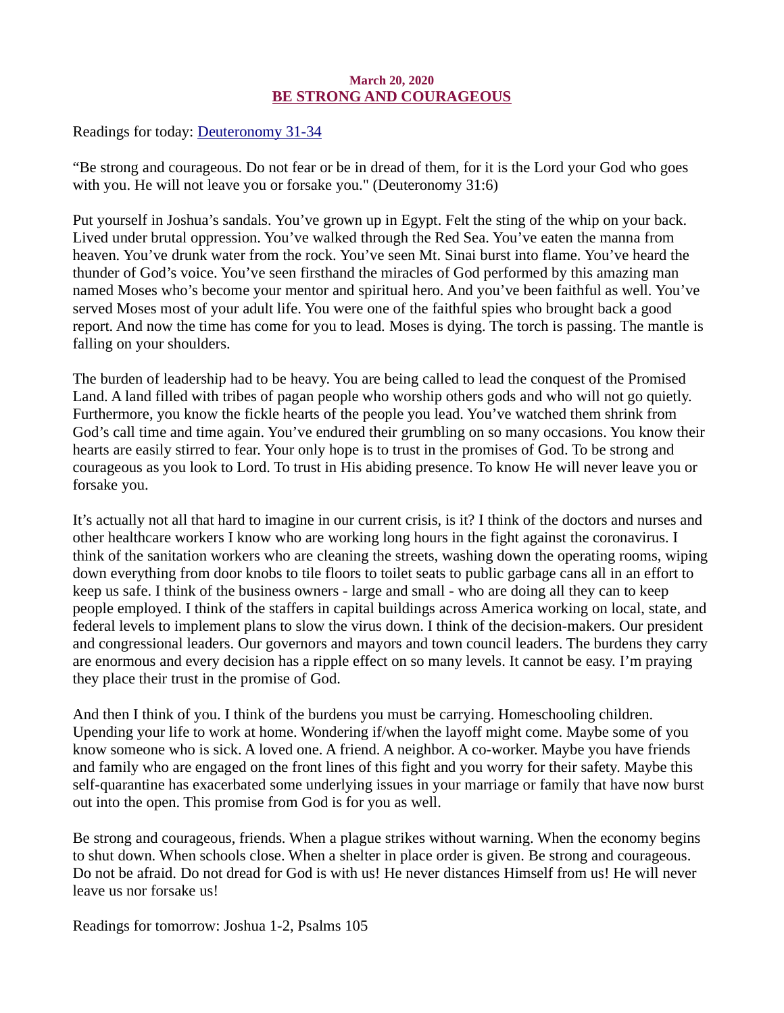# March 20, 2020 BE STRONG AND COURAGEOUS

<span id="page-25-0"></span>[Readings for today: Deuteronomy 31-34](https://www.biblegateway.com/passage/?search=Deuteronomy+31-34&version=ESV)

"Be strong and courageous. Do not fear or be in dread of them, for it is the Lord your God who goes with you. He will not leave you or forsake you." (Deuteronomy 31:6)

Put yourself in Joshua's sandals. You've grown up in Egypt. Felt the sting of the whip on your back. Lived under brutal oppression. You've walked through the Red Sea. You've eaten the manna from heaven. You've drunk water from the rock. You've seen Mt. Sinai burst into flame. You've heard the thunder of God's voice. You've seen firsthand the miracles of God performed by this amazing man named Moses who's become your mentor and spiritual hero. And you've been faithful as well. You've served Moses most of your adult life. You were one of the faithful spies who brought back a good report. And now the time has come for you to lead. Moses is dying. The torch is passing. The mantle is falling on your shoulders.

The burden of leadership had to be heavy. You are being called to lead the conquest of the Promised Land. A land filled with tribes of pagan people who worship others gods and who will not go quietly. Furthermore, you know the fickle hearts of the people you lead. You've watched them shrink from God's call time and time again. You've endured their grumbling on so many occasions. You know their hearts are easily stirred to fear. Your only hope is to trust in the promises of God. To be strong and courageous as you look to Lord. To trust in His abiding presence. To know He will never leave you or forsake you.

It's actually not all that hard to imagine in our current crisis, is it? I think of the doctors and nurses and other healthcare workers I know who are working long hours in the fight against the coronavirus. I think of the sanitation workers who are cleaning the streets, washing down the operating rooms, wiping down everything from door knobs to tile floors to toilet seats to public garbage cans all in an effort to keep us safe. I think of the business owners - large and small - who are doing all they can to keep people employed. I think of the staffers in capital buildings across America working on local, state, and federal levels to implement plans to slow the virus down. I think of the decision-makers. Our president and congressional leaders. Our governors and mayors and town council leaders. The burdens they carry are enormous and every decision has a ripple effect on so many levels. It cannot be easy. I'm praying they place their trust in the promise of God.

And then I think of you. I think of the burdens you must be carrying. Homeschooling children. Upending your life to work at home. Wondering if/when the layoff might come. Maybe some of you know someone who is sick. A loved one. A friend. A neighbor. A co-worker. Maybe you have friends and family who are engaged on the front lines of this fight and you worry for their safety. Maybe this self-quarantine has exacerbated some underlying issues in your marriage or family that have now burst out into the open. This promise from God is for you as well.

Be strong and courageous, friends. When a plague strikes without warning. When the economy begins to shut down. When schools close. When a shelter in place order is given. Be strong and courageous. Do not be afraid. Do not dread for God is with us! He never distances Himself from us! He will never leave us nor forsake us!

Readings for tomorrow: Joshua 1-2, Psalms 105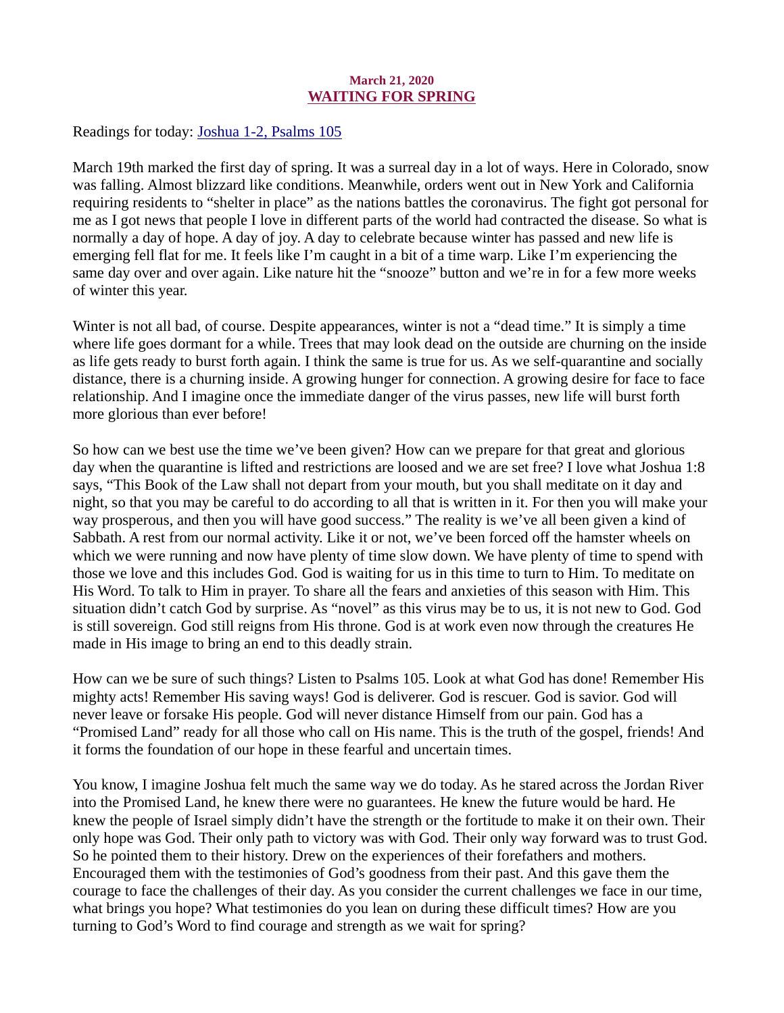# March 21, 2020 WAITING FOR SPRING

<span id="page-26-0"></span>[Readings for today: Joshua 1-2, Psalms 105](https://www.biblegateway.com/passage/?search=Joshua+1-2%2C+Psalms+105&version=ESV)

March 19th marked the first day of spring. It was a surreal day in a lot of ways. Here in Colorado, snow was falling. Almost blizzard like conditions. Meanwhile, orders went out in New York and California requiring residents to "shelter in place" as the nations battles the coronavirus. The fight got personal for me as I got news that people I love in different parts of the world had contracted the disease. So what is normally a day of hope. A day of joy. A day to celebrate because winter has passed and new life is emerging fell flat for me. It feels like I'm caught in a bit of a time warp. Like I'm experiencing the same day over and over again. Like nature hit the "snooze" button and we're in for a few more weeks of winter this year.

Winter is not all bad, of course. Despite appearances, winter is not a "dead time." It is simply a time where life goes dormant for a while. Trees that may look dead on the outside are churning on the inside as life gets ready to burst forth again. I think the same is true for us. As we self-quarantine and socially distance, there is a churning inside. A growing hunger for connection. A growing desire for face to face relationship. And I imagine once the immediate danger of the virus passes, new life will burst forth more glorious than ever before!

So how can we best use the time we've been given? How can we prepare for that great and glorious day when the quarantine is lifted and restrictions are loosed and we are set free? I love what Joshua 1:8 says, "This Book of the Law shall not depart from your mouth, but you shall meditate on it day and night, so that you may be careful to do according to all that is written in it. For then you will make your way prosperous, and then you will have good success." The reality is we've all been given a kind of Sabbath. A rest from our normal activity. Like it or not, we've been forced off the hamster wheels on which we were running and now have plenty of time slow down. We have plenty of time to spend with those we love and this includes God. God is waiting for us in this time to turn to Him. To meditate on His Word. To talk to Him in prayer. To share all the fears and anxieties of this season with Him. This situation didn't catch God by surprise. As "novel" as this virus may be to us, it is not new to God. God is still sovereign. God still reigns from His throne. God is at work even now through the creatures He made in His image to bring an end to this deadly strain.

How can we be sure of such things? Listen to Psalms 105. Look at what God has done! Remember His mighty acts! Remember His saving ways! God is deliverer. God is rescuer. God is savior. God will never leave or forsake His people. God will never distance Himself from our pain. God has a "Promised Land" ready for all those who call on His name. This is the truth of the gospel, friends! And it forms the foundation of our hope in these fearful and uncertain times.

You know, I imagine Joshua felt much the same way we do today. As he stared across the Jordan River into the Promised Land, he knew there were no guarantees. He knew the future would be hard. He knew the people of Israel simply didn't have the strength or the fortitude to make it on their own. Their only hope was God. Their only path to victory was with God. Their only way forward was to trust God. So he pointed them to their history. Drew on the experiences of their forefathers and mothers. Encouraged them with the testimonies of God's goodness from their past. And this gave them the courage to face the challenges of their day. As you consider the current challenges we face in our time, what brings you hope? What testimonies do you lean on during these difficult times? How are you turning to God's Word to find courage and strength as we wait for spring?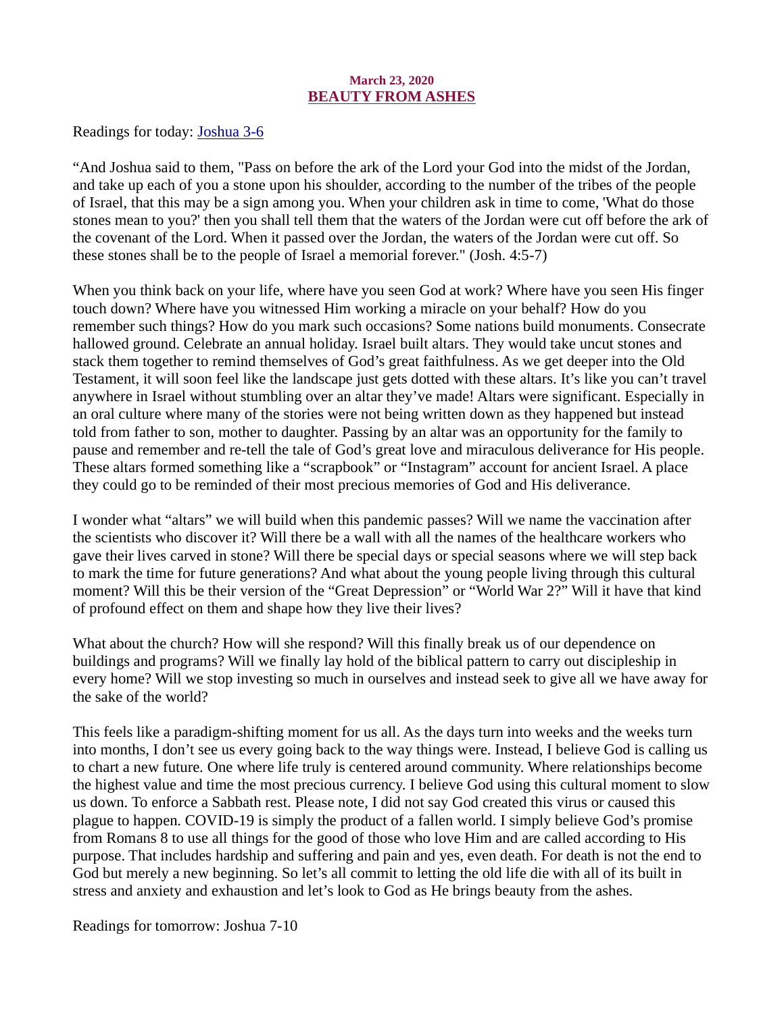# March 23, 2020 BEAUTY FROM ASHES

<span id="page-27-0"></span>[Readings for today: Joshua 3-6](https://www.biblegateway.com/passage/?search=Joshua+3-6&version=ESV)

"And Joshua said to them, "Pass on before the ark of the Lord your God into the midst of the Jordan, and take up each of you a stone upon his shoulder, according to the number of the tribes of the people of Israel, that this may be a sign among you. When your children ask in time to come, 'What do those stones mean to you?' then you shall tell them that the waters of the Jordan were cut off before the ark of the covenant of the Lord. When it passed over the Jordan, the waters of the Jordan were cut off. So these stones shall be to the people of Israel a memorial forever." (Josh. 4:5-7)

When you think back on your life, where have you seen God at work? Where have you seen His finger touch down? Where have you witnessed Him working a miracle on your behalf? How do you remember such things? How do you mark such occasions? Some nations build monuments. Consecrate hallowed ground. Celebrate an annual holiday. Israel built altars. They would take uncut stones and stack them together to remind themselves of God's great faithfulness. As we get deeper into the Old Testament, it will soon feel like the landscape just gets dotted with these altars. It's like you can't travel anywhere in Israel without stumbling over an altar they've made! Altars were significant. Especially in an oral culture where many of the stories were not being written down as they happened but instead told from father to son, mother to daughter. Passing by an altar was an opportunity for the family to pause and remember and re-tell the tale of God's great love and miraculous deliverance for His people. These altars formed something like a "scrapbook" or "Instagram" account for ancient Israel. A place they could go to be reminded of their most precious memories of God and His deliverance.

I wonder what "altars" we will build when this pandemic passes? Will we name the vaccination after the scientists who discover it? Will there be a wall with all the names of the healthcare workers who gave their lives carved in stone? Will there be special days or special seasons where we will step back to mark the time for future generations? And what about the young people living through this cultural moment? Will this be their version of the "Great Depression" or "World War 2?" Will it have that kind of profound effect on them and shape how they live their lives?

What about the church? How will she respond? Will this finally break us of our dependence on buildings and programs? Will we finally lay hold of the biblical pattern to carry out discipleship in every home? Will we stop investing so much in ourselves and instead seek to give all we have away for the sake of the world?

This feels like a paradigm-shifting moment for us all. As the days turn into weeks and the weeks turn into months, I don't see us every going back to the way things were. Instead, I believe God is calling us to chart a new future. One where life truly is centered around community. Where relationships become the highest value and time the most precious currency. I believe God using this cultural moment to slow us down. To enforce a Sabbath rest. Please note, I did not say God created this virus or caused this plague to happen. COVID-19 is simply the product of a fallen world. I simply believe God's promise from Romans 8 to use all things for the good of those who love Him and are called according to His purpose. That includes hardship and suffering and pain and yes, even death. For death is not the end to God but merely a new beginning. So let's all commit to letting the old life die with all of its built in stress and anxiety and exhaustion and let's look to God as He brings beauty from the ashes.

Readings for tomorrow: Joshua 7-10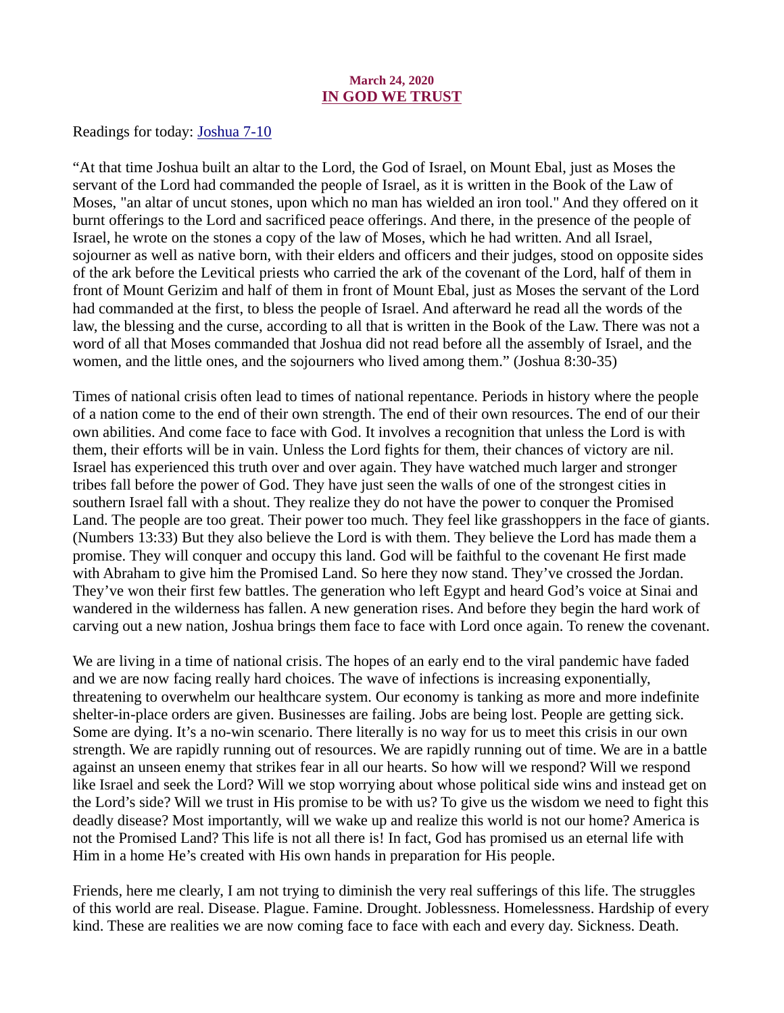#### March 24, 2020 IN GOD WE TRUST

<span id="page-28-0"></span>[Readings for today: Joshua 7-10](https://www.biblegateway.com/passage/?search=Joshua+7-10&version=ESV)

"At that time Joshua built an altar to the Lord, the God of Israel, on Mount Ebal, just as Moses the servant of the Lord had commanded the people of Israel, as it is written in the Book of the Law of Moses, "an altar of uncut stones, upon which no man has wielded an iron tool." And they offered on it burnt offerings to the Lord and sacrificed peace offerings. And there, in the presence of the people of Israel, he wrote on the stones a copy of the law of Moses, which he had written. And all Israel, sojourner as well as native born, with their elders and officers and their judges, stood on opposite sides of the ark before the Levitical priests who carried the ark of the covenant of the Lord, half of them in front of Mount Gerizim and half of them in front of Mount Ebal, just as Moses the servant of the Lord had commanded at the first, to bless the people of Israel. And afterward he read all the words of the law, the blessing and the curse, according to all that is written in the Book of the Law. There was not a word of all that Moses commanded that Joshua did not read before all the assembly of Israel, and the women, and the little ones, and the sojourners who lived among them." (Joshua 8:30-35)

Times of national crisis often lead to times of national repentance. Periods in history where the people of a nation come to the end of their own strength. The end of their own resources. The end of our their own abilities. And come face to face with God. It involves a recognition that unless the Lord is with them, their efforts will be in vain. Unless the Lord fights for them, their chances of victory are nil. Israel has experienced this truth over and over again. They have watched much larger and stronger tribes fall before the power of God. They have just seen the walls of one of the strongest cities in southern Israel fall with a shout. They realize they do not have the power to conquer the Promised Land. The people are too great. Their power too much. They feel like grasshoppers in the face of giants. (Numbers 13:33) But they also believe the Lord is with them. They believe the Lord has made them a promise. They will conquer and occupy this land. God will be faithful to the covenant He first made with Abraham to give him the Promised Land. So here they now stand. They've crossed the Jordan. They've won their first few battles. The generation who left Egypt and heard God's voice at Sinai and wandered in the wilderness has fallen. A new generation rises. And before they begin the hard work of carving out a new nation, Joshua brings them face to face with Lord once again. To renew the covenant.

We are living in a time of national crisis. The hopes of an early end to the viral pandemic have faded and we are now facing really hard choices. The wave of infections is increasing exponentially, threatening to overwhelm our healthcare system. Our economy is tanking as more and more indefinite shelter-in-place orders are given. Businesses are failing. Jobs are being lost. People are getting sick. Some are dying. It's a no-win scenario. There literally is no way for us to meet this crisis in our own strength. We are rapidly running out of resources. We are rapidly running out of time. We are in a battle against an unseen enemy that strikes fear in all our hearts. So how will we respond? Will we respond like Israel and seek the Lord? Will we stop worrying about whose political side wins and instead get on the Lord's side? Will we trust in His promise to be with us? To give us the wisdom we need to fight this deadly disease? Most importantly, will we wake up and realize this world is not our home? America is not the Promised Land? This life is not all there is! In fact, God has promised us an eternal life with Him in a home He's created with His own hands in preparation for His people.

Friends, here me clearly, I am not trying to diminish the very real sufferings of this life. The struggles of this world are real. Disease. Plague. Famine. Drought. Joblessness. Homelessness. Hardship of every kind. These are realities we are now coming face to face with each and every day. Sickness. Death.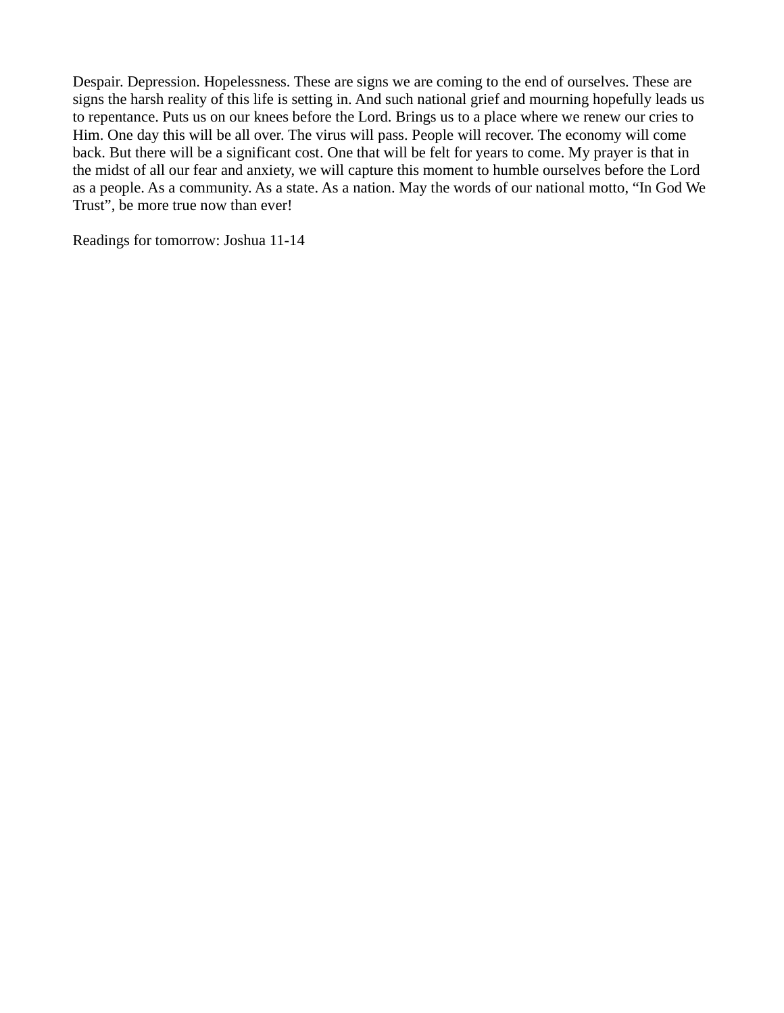Despair. Depression. Hopelessness. These are signs we are coming to the end of ourselves. These are signs the harsh reality of this life is setting in. And such national grief and mourning hopefully leads us to repentance. Puts us on our knees before the Lord. Brings us to a place where we renew our cries to Him. One day this will be all over. The virus will pass. People will recover. The economy will come back. But there will be a significant cost. One that will be felt for years to come. My prayer is that in the midst of all our fear and anxiety, we will capture this moment to humble ourselves before the Lord as a people. As a community. As a state. As a nation. May the words of our national motto, "In God We Trust", be more true now than ever!

Readings for tomorrow: Joshua 11-14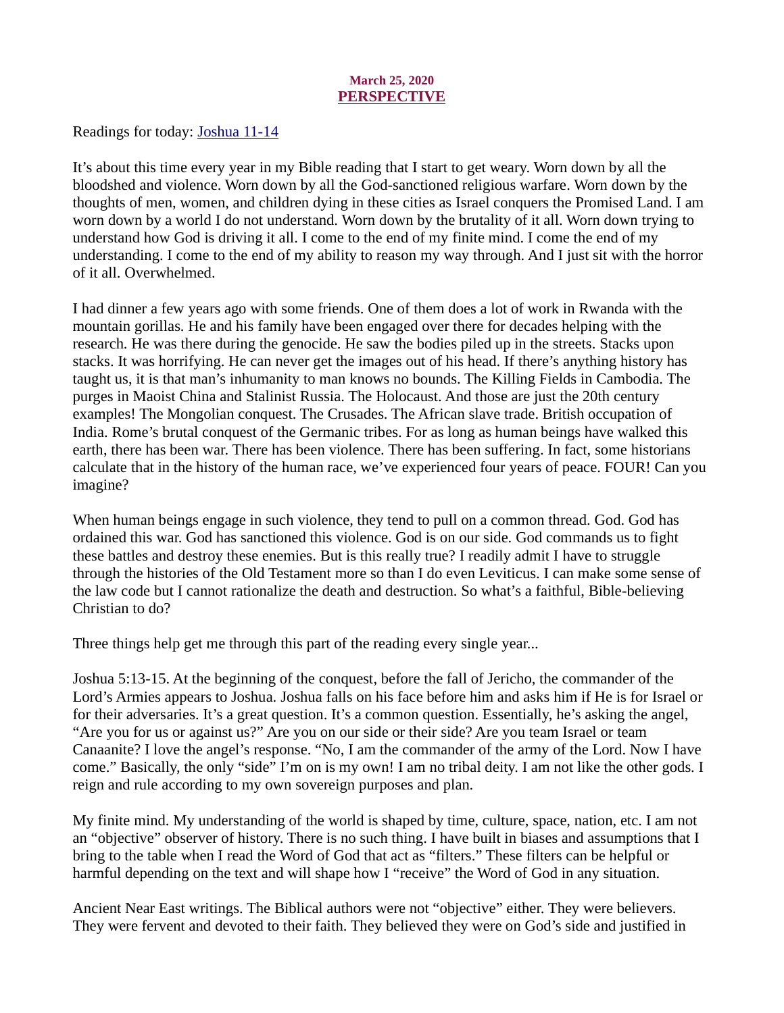# March 25, 2020 PERSPECTIVE

<span id="page-30-0"></span>Readings for today: **Joshua 11-14** 

It's about this time every year in my Bible reading that I start to get weary. Worn down by all the bloodshed and violence. Worn down by all the God-sanctioned religious warfare. Worn down by the thoughts of men, women, and children dying in these cities as Israel conquers the Promised Land. I am worn down by a world I do not understand. Worn down by the brutality of it all. Worn down trying to understand how God is driving it all. I come to the end of my finite mind. I come the end of my understanding. I come to the end of my ability to reason my way through. And I just sit with the horror of it all. Overwhelmed.

I had dinner a few years ago with some friends. One of them does a lot of work in Rwanda with the mountain gorillas. He and his family have been engaged over there for decades helping with the research. He was there during the genocide. He saw the bodies piled up in the streets. Stacks upon stacks. It was horrifying. He can never get the images out of his head. If there's anything history has taught us, it is that man's inhumanity to man knows no bounds. The Killing Fields in Cambodia. The purges in Maoist China and Stalinist Russia. The Holocaust. And those are just the 20th century examples! The Mongolian conquest. The Crusades. The African slave trade. British occupation of India. Rome's brutal conquest of the Germanic tribes. For as long as human beings have walked this earth, there has been war. There has been violence. There has been suffering. In fact, some historians calculate that in the history of the human race, we've experienced four years of peace. FOUR! Can you imagine?

When human beings engage in such violence, they tend to pull on a common thread. God. God has ordained this war. God has sanctioned this violence. God is on our side. God commands us to fight these battles and destroy these enemies. But is this really true? I readily admit I have to struggle through the histories of the Old Testament more so than I do even Leviticus. I can make some sense of the law code but I cannot rationalize the death and destruction. So what's a faithful, Bible-believing Christian to do?

Three things help get me through this part of the reading every single year...

Joshua 5:13-15. At the beginning of the conquest, before the fall of Jericho, the commander of the Lord's Armies appears to Joshua. Joshua falls on his face before him and asks him if He is for Israel or for their adversaries. It's a great question. It's a common question. Essentially, he's asking the angel, "Are you for us or against us?" Are you on our side or their side? Are you team Israel or team Canaanite? I love the angel's response. "No, I am the commander of the army of the Lord. Now I have come." Basically, the only "side" I'm on is my own! I am no tribal deity. I am not like the other gods. I reign and rule according to my own sovereign purposes and plan.

My finite mind. My understanding of the world is shaped by time, culture, space, nation, etc. I am not an "objective" observer of history. There is no such thing. I have built in biases and assumptions that I bring to the table when I read the Word of God that act as "filters." These filters can be helpful or harmful depending on the text and will shape how I "receive" the Word of God in any situation.

Ancient Near East writings. The Biblical authors were not "objective" either. They were believers. They were fervent and devoted to their faith. They believed they were on God's side and justified in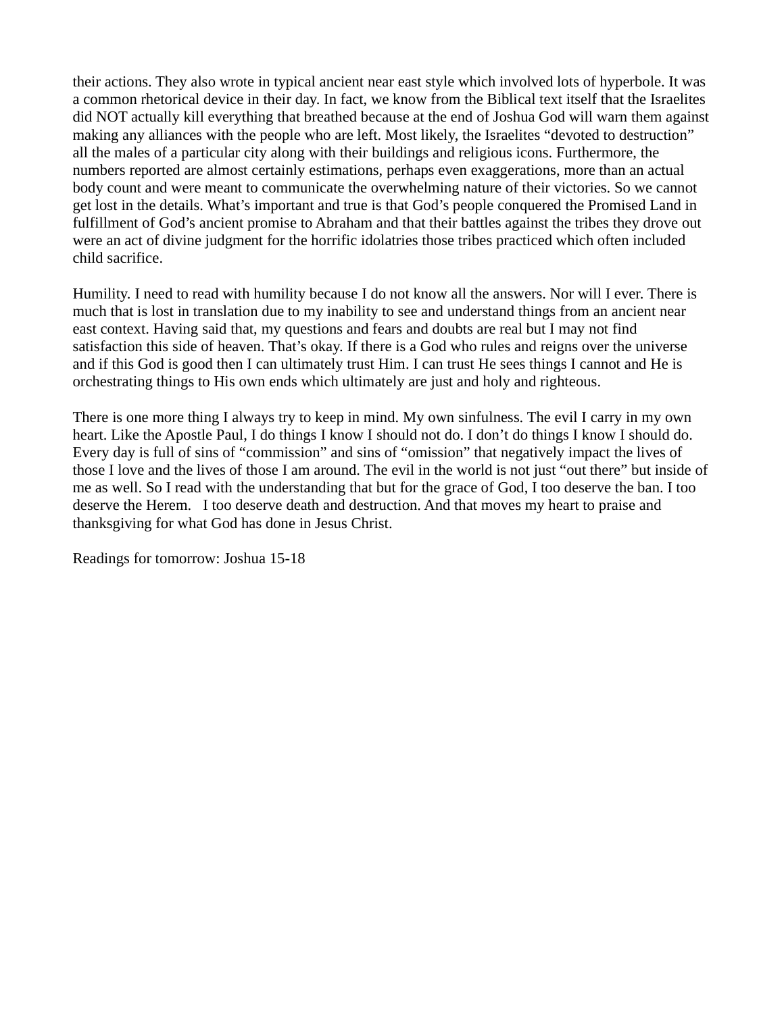their actions. They also wrote in typical ancient near east style which involved lots of hyperbole. It was a common rhetorical device in their day. In fact, we know from the Biblical text itself that the Israelites did NOT actually kill everything that breathed because at the end of Joshua God will warn them against making any alliances with the people who are left. Most likely, the Israelites "devoted to destruction" all the males of a particular city along with their buildings and religious icons. Furthermore, the numbers reported are almost certainly estimations, perhaps even exaggerations, more than an actual body count and were meant to communicate the overwhelming nature of their victories. So we cannot get lost in the details. What's important and true is that God's people conquered the Promised Land in fulfillment of God's ancient promise to Abraham and that their battles against the tribes they drove out were an act of divine judgment for the horrific idolatries those tribes practiced which often included child sacrifice.

Humility. I need to read with humility because I do not know all the answers. Nor will I ever. There is much that is lost in translation due to my inability to see and understand things from an ancient near east context. Having said that, my questions and fears and doubts are real but I may not find satisfaction this side of heaven. That's okay. If there is a God who rules and reigns over the universe and if this God is good then I can ultimately trust Him. I can trust He sees things I cannot and He is orchestrating things to His own ends which ultimately are just and holy and righteous.

There is one more thing I always try to keep in mind. My own sinfulness. The evil I carry in my own heart. Like the Apostle Paul, I do things I know I should not do. I don't do things I know I should do. Every day is full of sins of "commission" and sins of "omission" that negatively impact the lives of those I love and the lives of those I am around. The evil in the world is not just "out there" but inside of me as well. So I read with the understanding that but for the grace of God, I too deserve the ban. I too deserve the Herem. I too deserve death and destruction. And that moves my heart to praise and thanksgiving for what God has done in Jesus Christ.

Readings for tomorrow: Joshua 15-18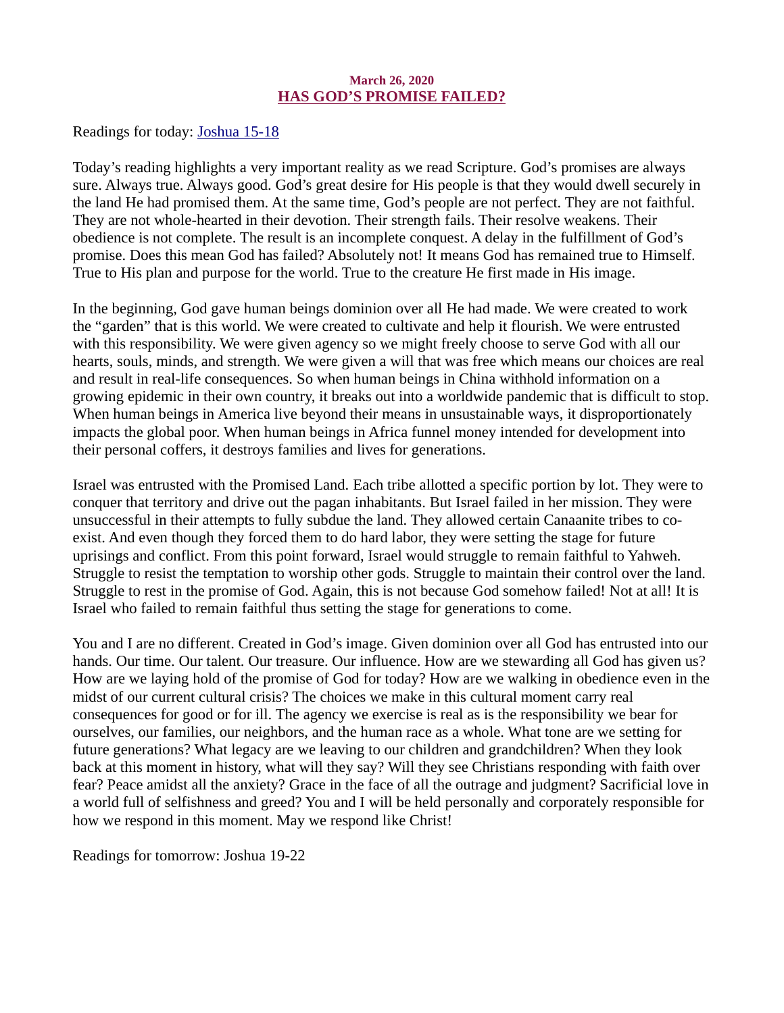#### March 26, 2020 HAS GOD'S PROMISE FAILED?

<span id="page-32-0"></span>[Readings for today: Joshua 15-18](https://www.biblegateway.com/passage/?search=Joshua+15-18&version=ESV)

Today's reading highlights a very important reality as we read Scripture. God's promises are always sure. Always true. Always good. God's great desire for His people is that they would dwell securely in the land He had promised them. At the same time, God's people are not perfect. They are not faithful. They are not whole-hearted in their devotion. Their strength fails. Their resolve weakens. Their obedience is not complete. The result is an incomplete conquest. A delay in the fulfillment of God's promise. Does this mean God has failed? Absolutely not! It means God has remained true to Himself. True to His plan and purpose for the world. True to the creature He first made in His image.

In the beginning, God gave human beings dominion over all He had made. We were created to work the "garden" that is this world. We were created to cultivate and help it flourish. We were entrusted with this responsibility. We were given agency so we might freely choose to serve God with all our hearts, souls, minds, and strength. We were given a will that was free which means our choices are real and result in real-life consequences. So when human beings in China withhold information on a growing epidemic in their own country, it breaks out into a worldwide pandemic that is difficult to stop. When human beings in America live beyond their means in unsustainable ways, it disproportionately impacts the global poor. When human beings in Africa funnel money intended for development into their personal coffers, it destroys families and lives for generations.

Israel was entrusted with the Promised Land. Each tribe allotted a specific portion by lot. They were to conquer that territory and drive out the pagan inhabitants. But Israel failed in her mission. They were unsuccessful in their attempts to fully subdue the land. They allowed certain Canaanite tribes to coexist. And even though they forced them to do hard labor, they were setting the stage for future uprisings and conflict. From this point forward, Israel would struggle to remain faithful to Yahweh. Struggle to resist the temptation to worship other gods. Struggle to maintain their control over the land. Struggle to rest in the promise of God. Again, this is not because God somehow failed! Not at all! It is Israel who failed to remain faithful thus setting the stage for generations to come.

You and I are no different. Created in God's image. Given dominion over all God has entrusted into our hands. Our time. Our talent. Our treasure. Our influence. How are we stewarding all God has given us? How are we laying hold of the promise of God for today? How are we walking in obedience even in the midst of our current cultural crisis? The choices we make in this cultural moment carry real consequences for good or for ill. The agency we exercise is real as is the responsibility we bear for ourselves, our families, our neighbors, and the human race as a whole. What tone are we setting for future generations? What legacy are we leaving to our children and grandchildren? When they look back at this moment in history, what will they say? Will they see Christians responding with faith over fear? Peace amidst all the anxiety? Grace in the face of all the outrage and judgment? Sacrificial love in a world full of selfishness and greed? You and I will be held personally and corporately responsible for how we respond in this moment. May we respond like Christ!

Readings for tomorrow: Joshua 19-22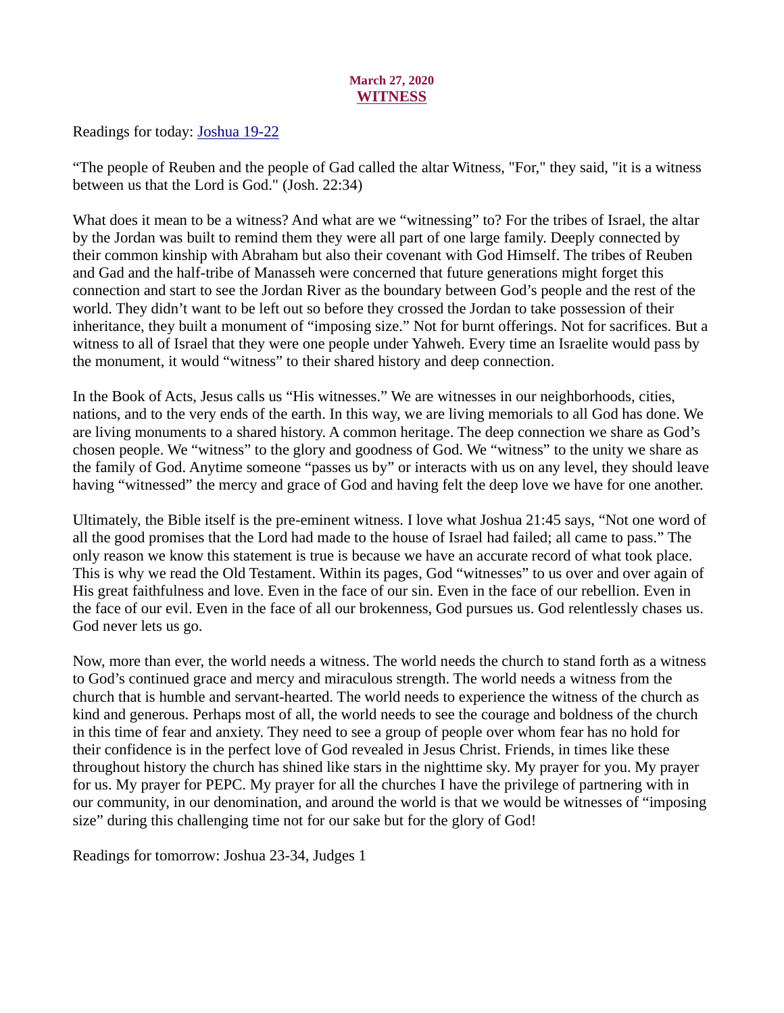# March 27, 2020 **WITNESS**

<span id="page-33-0"></span>[Readings for today: Joshua 19-22](https://www.biblegateway.com/passage/?search=Joshua+19-22&version=ESV)

"The people of Reuben and the people of Gad called the altar Witness, "For," they said, "it is a witness between us that the Lord is God." (Josh. 22:34)

What does it mean to be a witness? And what are we "witnessing" to? For the tribes of Israel, the altar by the Jordan was built to remind them they were all part of one large family. Deeply connected by their common kinship with Abraham but also their covenant with God Himself. The tribes of Reuben and Gad and the half-tribe of Manasseh were concerned that future generations might forget this connection and start to see the Jordan River as the boundary between God's people and the rest of the world. They didn't want to be left out so before they crossed the Jordan to take possession of their inheritance, they built a monument of "imposing size." Not for burnt offerings. Not for sacrifices. But a witness to all of Israel that they were one people under Yahweh. Every time an Israelite would pass by the monument, it would "witness" to their shared history and deep connection.

In the Book of Acts, Jesus calls us "His witnesses." We are witnesses in our neighborhoods, cities, nations, and to the very ends of the earth. In this way, we are living memorials to all God has done. We are living monuments to a shared history. A common heritage. The deep connection we share as God's chosen people. We "witness" to the glory and goodness of God. We "witness" to the unity we share as the family of God. Anytime someone "passes us by" or interacts with us on any level, they should leave having "witnessed" the mercy and grace of God and having felt the deep love we have for one another.

Ultimately, the Bible itself is the pre-eminent witness. I love what Joshua 21:45 says, "Not one word of all the good promises that the Lord had made to the house of Israel had failed; all came to pass." The only reason we know this statement is true is because we have an accurate record of what took place. This is why we read the Old Testament. Within its pages, God "witnesses" to us over and over again of His great faithfulness and love. Even in the face of our sin. Even in the face of our rebellion. Even in the face of our evil. Even in the face of all our brokenness, God pursues us. God relentlessly chases us. God never lets us go.

Now, more than ever, the world needs a witness. The world needs the church to stand forth as a witness to God's continued grace and mercy and miraculous strength. The world needs a witness from the church that is humble and servant-hearted. The world needs to experience the witness of the church as kind and generous. Perhaps most of all, the world needs to see the courage and boldness of the church in this time of fear and anxiety. They need to see a group of people over whom fear has no hold for their confidence is in the perfect love of God revealed in Jesus Christ. Friends, in times like these throughout history the church has shined like stars in the nighttime sky. My prayer for you. My prayer for us. My prayer for PEPC. My prayer for all the churches I have the privilege of partnering with in our community, in our denomination, and around the world is that we would be witnesses of "imposing size" during this challenging time not for our sake but for the glory of God!

Readings for tomorrow: Joshua 23-34, Judges 1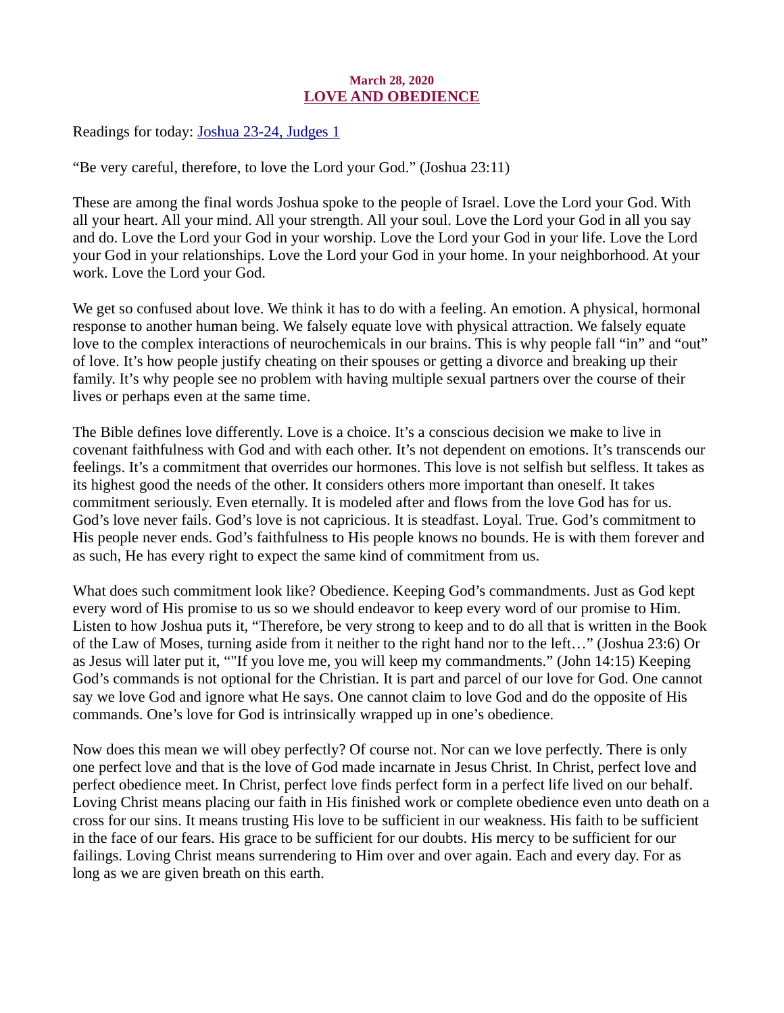# March 28, 2020 LOVE AND OBEDIENCE

<span id="page-34-0"></span>Readings for today: **Joshua 23-24**, Judges 1

"Be very careful, therefore, to love the Lord your God." (Joshua 23:11)

These are among the final words Joshua spoke to the people of Israel. Love the Lord your God. With all your heart. All your mind. All your strength. All your soul. Love the Lord your God in all you say and do. Love the Lord your God in your worship. Love the Lord your God in your life. Love the Lord your God in your relationships. Love the Lord your God in your home. In your neighborhood. At your work. Love the Lord your God.

We get so confused about love. We think it has to do with a feeling. An emotion. A physical, hormonal response to another human being. We falsely equate love with physical attraction. We falsely equate love to the complex interactions of neurochemicals in our brains. This is why people fall "in" and "out" of love. It's how people justify cheating on their spouses or getting a divorce and breaking up their family. It's why people see no problem with having multiple sexual partners over the course of their lives or perhaps even at the same time.

The Bible defines love differently. Love is a choice. It's a conscious decision we make to live in covenant faithfulness with God and with each other. It's not dependent on emotions. It's transcends our feelings. It's a commitment that overrides our hormones. This love is not selfish but selfless. It takes as its highest good the needs of the other. It considers others more important than oneself. It takes commitment seriously. Even eternally. It is modeled after and flows from the love God has for us. God's love never fails. God's love is not capricious. It is steadfast. Loyal. True. God's commitment to His people never ends. God's faithfulness to His people knows no bounds. He is with them forever and as such, He has every right to expect the same kind of commitment from us.

What does such commitment look like? Obedience. Keeping God's commandments. Just as God kept every word of His promise to us so we should endeavor to keep every word of our promise to Him. Listen to how Joshua puts it, "Therefore, be very strong to keep and to do all that is written in the Book of the Law of Moses, turning aside from it neither to the right hand nor to the left…" (Joshua 23:6) Or as Jesus will later put it, ""If you love me, you will keep my commandments." (John 14:15) Keeping God's commands is not optional for the Christian. It is part and parcel of our love for God. One cannot say we love God and ignore what He says. One cannot claim to love God and do the opposite of His commands. One's love for God is intrinsically wrapped up in one's obedience.

Now does this mean we will obey perfectly? Of course not. Nor can we love perfectly. There is only one perfect love and that is the love of God made incarnate in Jesus Christ. In Christ, perfect love and perfect obedience meet. In Christ, perfect love finds perfect form in a perfect life lived on our behalf. Loving Christ means placing our faith in His finished work or complete obedience even unto death on a cross for our sins. It means trusting His love to be sufficient in our weakness. His faith to be sufficient in the face of our fears. His grace to be sufficient for our doubts. His mercy to be sufficient for our failings. Loving Christ means surrendering to Him over and over again. Each and every day. For as long as we are given breath on this earth.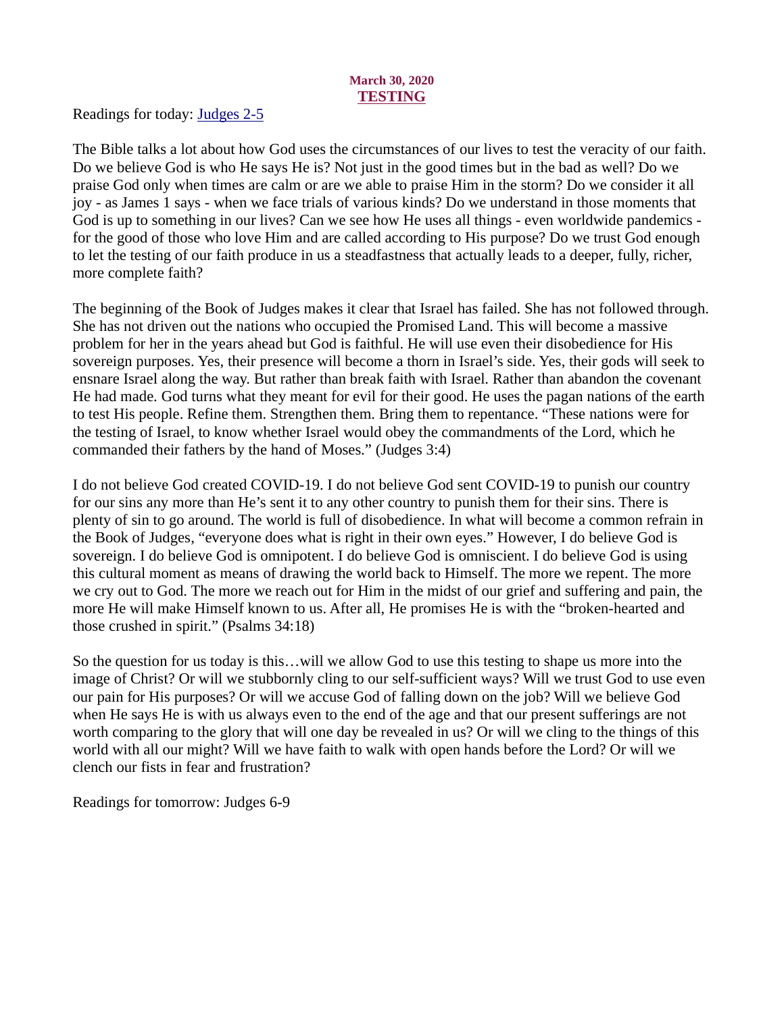# March 30, 2020 TESTING

<span id="page-35-0"></span>[Readings for today: Judges 2-5](https://www.biblegateway.com/passage/?search=Judges+2-5&version=ESV)

The Bible talks a lot about how God uses the circumstances of our lives to test the veracity of our faith. Do we believe God is who He says He is? Not just in the good times but in the bad as well? Do we praise God only when times are calm or are we able to praise Him in the storm? Do we consider it all joy - as James 1 says - when we face trials of various kinds? Do we understand in those moments that God is up to something in our lives? Can we see how He uses all things - even worldwide pandemics for the good of those who love Him and are called according to His purpose? Do we trust God enough to let the testing of our faith produce in us a steadfastness that actually leads to a deeper, fully, richer, more complete faith?

The beginning of the Book of Judges makes it clear that Israel has failed. She has not followed through. She has not driven out the nations who occupied the Promised Land. This will become a massive problem for her in the years ahead but God is faithful. He will use even their disobedience for His sovereign purposes. Yes, their presence will become a thorn in Israel's side. Yes, their gods will seek to ensnare Israel along the way. But rather than break faith with Israel. Rather than abandon the covenant He had made. God turns what they meant for evil for their good. He uses the pagan nations of the earth to test His people. Refine them. Strengthen them. Bring them to repentance. "These nations were for the testing of Israel, to know whether Israel would obey the commandments of the Lord, which he commanded their fathers by the hand of Moses." (Judges 3:4)

I do not believe God created COVID-19. I do not believe God sent COVID-19 to punish our country for our sins any more than He's sent it to any other country to punish them for their sins. There is plenty of sin to go around. The world is full of disobedience. In what will become a common refrain in the Book of Judges, "everyone does what is right in their own eyes." However, I do believe God is sovereign. I do believe God is omnipotent. I do believe God is omniscient. I do believe God is using this cultural moment as means of drawing the world back to Himself. The more we repent. The more we cry out to God. The more we reach out for Him in the midst of our grief and suffering and pain, the more He will make Himself known to us. After all, He promises He is with the "broken-hearted and those crushed in spirit." (Psalms 34:18)

So the question for us today is this…will we allow God to use this testing to shape us more into the image of Christ? Or will we stubbornly cling to our self-sufficient ways? Will we trust God to use even our pain for His purposes? Or will we accuse God of falling down on the job? Will we believe God when He says He is with us always even to the end of the age and that our present sufferings are not worth comparing to the glory that will one day be revealed in us? Or will we cling to the things of this world with all our might? Will we have faith to walk with open hands before the Lord? Or will we clench our fists in fear and frustration?

Readings for tomorrow: Judges 6-9